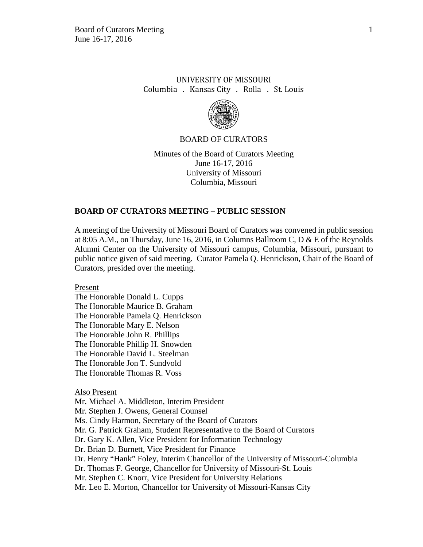## UNIVERSITY OF MISSOURI Columbia . Kansas City . Rolla . St. Louis



#### BOARD OF CURATORS

Minutes of the Board of Curators Meeting June 16-17, 2016 University of Missouri Columbia, Missouri

### **BOARD OF CURATORS MEETING – PUBLIC SESSION**

A meeting of the University of Missouri Board of Curators was convened in public session at 8:05 A.M., on Thursday, June 16, 2016, in Columns Ballroom C, D & E of the Reynolds Alumni Center on the University of Missouri campus, Columbia, Missouri, pursuant to public notice given of said meeting. Curator Pamela Q. Henrickson, Chair of the Board of Curators, presided over the meeting.

Present

The Honorable Donald L. Cupps The Honorable Maurice B. Graham The Honorable Pamela Q. Henrickson The Honorable Mary E. Nelson The Honorable John R. Phillips The Honorable Phillip H. Snowden The Honorable David L. Steelman The Honorable Jon T. Sundvold The Honorable Thomas R. Voss

#### Also Present

Mr. Michael A. Middleton, Interim President Mr. Stephen J. Owens, General Counsel Ms. Cindy Harmon, Secretary of the Board of Curators Mr. G. Patrick Graham, Student Representative to the Board of Curators Dr. Gary K. Allen, Vice President for Information Technology Dr. Brian D. Burnett, Vice President for Finance Dr. Henry "Hank" Foley, Interim Chancellor of the University of Missouri-Columbia Dr. Thomas F. George, Chancellor for University of Missouri-St. Louis Mr. Stephen C. Knorr, Vice President for University Relations Mr. Leo E. Morton, Chancellor for University of Missouri-Kansas City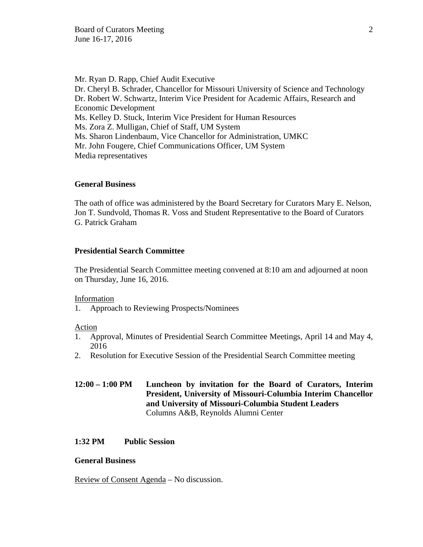Mr. Ryan D. Rapp, Chief Audit Executive Dr. Cheryl B. Schrader, Chancellor for Missouri University of Science and Technology Dr. Robert W. Schwartz, Interim Vice President for Academic Affairs, Research and Economic Development Ms. Kelley D. Stuck, Interim Vice President for Human Resources Ms. Zora Z. Mulligan, Chief of Staff, UM System Ms. Sharon Lindenbaum, Vice Chancellor for Administration, UMKC Mr. John Fougere, Chief Communications Officer, UM System Media representatives

#### **General Business**

The oath of office was administered by the Board Secretary for Curators Mary E. Nelson, Jon T. Sundvold, Thomas R. Voss and Student Representative to the Board of Curators G. Patrick Graham

## **Presidential Search Committee**

The Presidential Search Committee meeting convened at 8:10 am and adjourned at noon on Thursday, June 16, 2016.

#### Information

1. Approach to Reviewing Prospects/Nominees

#### Action

- 1. Approval, Minutes of Presidential Search Committee Meetings, April 14 and May 4, 2016
- 2. Resolution for Executive Session of the Presidential Search Committee meeting

## **12:00 – 1:00 PM Luncheon by invitation for the Board of Curators, Interim President, University of Missouri-Columbia Interim Chancellor and University of Missouri-Columbia Student Leaders** Columns A&B, Reynolds Alumni Center

### **1:32 PM Public Session**

### **General Business**

Review of Consent Agenda – No discussion.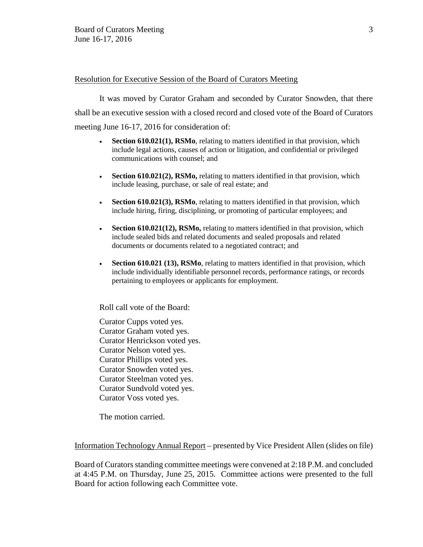### Resolution for Executive Session of the Board of Curators Meeting

It was moved by Curator Graham and seconded by Curator Snowden, that there shall be an executive session with a closed record and closed vote of the Board of Curators meeting June 16-17, 2016 for consideration of:

- **Section 610.021(1), RSMo**, relating to matters identified in that provision, which include legal actions, causes of action or litigation, and confidential or privileged communications with counsel; and
- **Section 610.021(2), RSMo,** relating to matters identified in that provision, which include leasing, purchase, or sale of real estate; and
- **Section 610.021(3), RSMo**, relating to matters identified in that provision, which include hiring, firing, disciplining, or promoting of particular employees; and
- **Section 610.021(12), RSMo,** relating to matters identified in that provision, which include sealed bids and related documents and sealed proposals and related documents or documents related to a negotiated contract; and
- **Section 610.021 (13), RSMo**, relating to matters identified in that provision, which include individually identifiable personnel records, performance ratings, or records pertaining to employees or applicants for employment.

Roll call vote of the Board:

Curator Cupps voted yes. Curator Graham voted yes. Curator Henrickson voted yes. Curator Nelson voted yes. Curator Phillips voted yes. Curator Snowden voted yes. Curator Steelman voted yes. Curator Sundvold voted yes. Curator Voss voted yes.

The motion carried.

Information Technology Annual Report – presented by Vice President Allen (slides on file)

Board of Curators standing committee meetings were convened at 2:18 P.M. and concluded at 4:45 P.M. on Thursday, June 25, 2015. Committee actions were presented to the full Board for action following each Committee vote.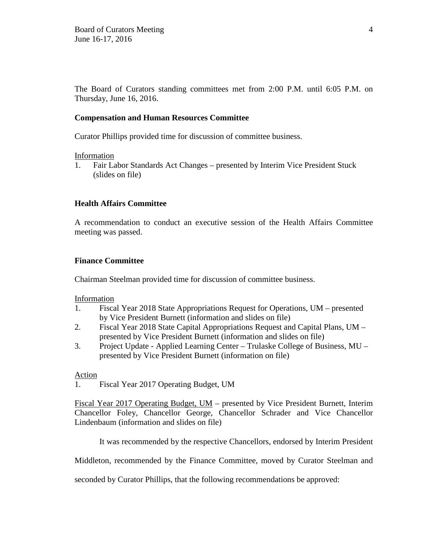The Board of Curators standing committees met from 2:00 P.M. until 6:05 P.M. on Thursday, June 16, 2016.

### **Compensation and Human Resources Committee**

Curator Phillips provided time for discussion of committee business.

### Information

1. Fair Labor Standards Act Changes – presented by Interim Vice President Stuck (slides on file)

## **Health Affairs Committee**

A recommendation to conduct an executive session of the Health Affairs Committee meeting was passed.

### **Finance Committee**

Chairman Steelman provided time for discussion of committee business.

### Information

- 1. Fiscal Year 2018 State Appropriations Request for Operations, UM presented by Vice President Burnett (information and slides on file)
- 2. Fiscal Year 2018 State Capital Appropriations Request and Capital Plans, UM presented by Vice President Burnett (information and slides on file)
- 3. Project Update Applied Learning Center Trulaske College of Business, MU presented by Vice President Burnett (information on file)

### Action

1. Fiscal Year 2017 Operating Budget, UM

Fiscal Year 2017 Operating Budget, UM – presented by Vice President Burnett, Interim Chancellor Foley, Chancellor George, Chancellor Schrader and Vice Chancellor Lindenbaum (information and slides on file)

It was recommended by the respective Chancellors, endorsed by Interim President

Middleton, recommended by the Finance Committee, moved by Curator Steelman and

seconded by Curator Phillips, that the following recommendations be approved: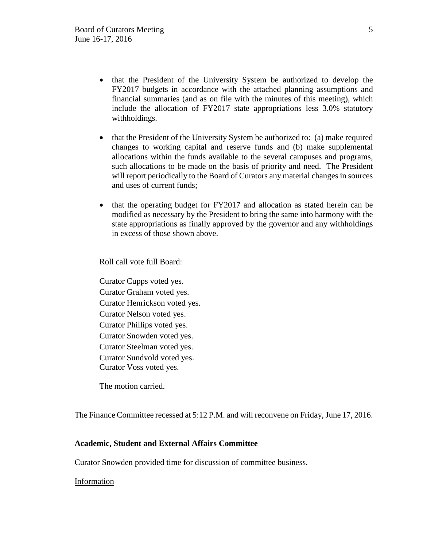- that the President of the University System be authorized to develop the FY2017 budgets in accordance with the attached planning assumptions and financial summaries (and as on file with the minutes of this meeting), which include the allocation of FY2017 state appropriations less 3.0% statutory withholdings.
- that the President of the University System be authorized to: (a) make required changes to working capital and reserve funds and (b) make supplemental allocations within the funds available to the several campuses and programs, such allocations to be made on the basis of priority and need. The President will report periodically to the Board of Curators any material changes in sources and uses of current funds;
- that the operating budget for FY2017 and allocation as stated herein can be modified as necessary by the President to bring the same into harmony with the state appropriations as finally approved by the governor and any withholdings in excess of those shown above.

Roll call vote full Board:

Curator Cupps voted yes. Curator Graham voted yes. Curator Henrickson voted yes. Curator Nelson voted yes. Curator Phillips voted yes. Curator Snowden voted yes. Curator Steelman voted yes. Curator Sundvold voted yes. Curator Voss voted yes.

The motion carried.

The Finance Committee recessed at 5:12 P.M. and will reconvene on Friday, June 17, 2016.

## **Academic, Student and External Affairs Committee**

Curator Snowden provided time for discussion of committee business.

### **Information**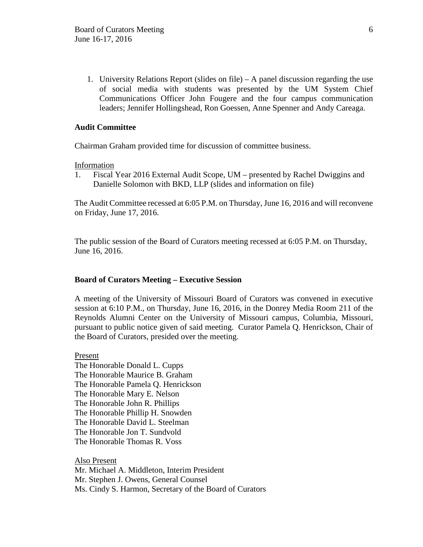1. University Relations Report (slides on file) – A panel discussion regarding the use of social media with students was presented by the UM System Chief Communications Officer John Fougere and the four campus communication leaders; Jennifer Hollingshead, Ron Goessen, Anne Spenner and Andy Careaga.

### **Audit Committee**

Chairman Graham provided time for discussion of committee business.

Information

1. Fiscal Year 2016 External Audit Scope, UM – presented by Rachel Dwiggins and Danielle Solomon with BKD, LLP (slides and information on file)

The Audit Committee recessed at 6:05 P.M. on Thursday, June 16, 2016 and will reconvene on Friday, June 17, 2016.

The public session of the Board of Curators meeting recessed at 6:05 P.M. on Thursday, June 16, 2016.

## **Board of Curators Meeting – Executive Session**

A meeting of the University of Missouri Board of Curators was convened in executive session at 6:10 P.M., on Thursday, June 16, 2016, in the Donrey Media Room 211 of the Reynolds Alumni Center on the University of Missouri campus, Columbia, Missouri, pursuant to public notice given of said meeting. Curator Pamela Q. Henrickson, Chair of the Board of Curators, presided over the meeting.

Present The Honorable Donald L. Cupps The Honorable Maurice B. Graham The Honorable Pamela Q. Henrickson The Honorable Mary E. Nelson The Honorable John R. Phillips The Honorable Phillip H. Snowden The Honorable David L. Steelman The Honorable Jon T. Sundvold The Honorable Thomas R. Voss

Also Present Mr. Michael A. Middleton, Interim President Mr. Stephen J. Owens, General Counsel Ms. Cindy S. Harmon, Secretary of the Board of Curators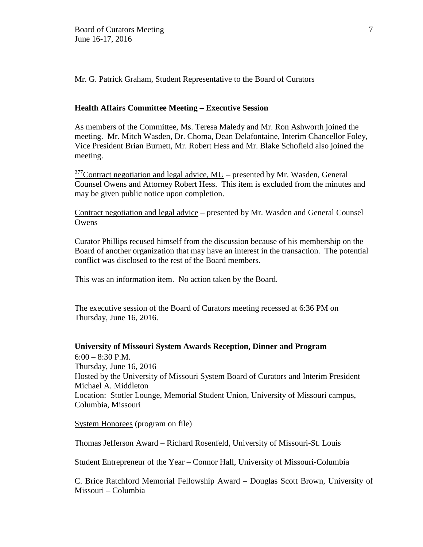Mr. G. Patrick Graham, Student Representative to the Board of Curators

### **Health Affairs Committee Meeting – Executive Session**

As members of the Committee, Ms. Teresa Maledy and Mr. Ron Ashworth joined the meeting. Mr. Mitch Wasden, Dr. Choma, Dean Delafontaine, Interim Chancellor Foley, Vice President Brian Burnett, Mr. Robert Hess and Mr. Blake Schofield also joined the meeting.

<sup>277</sup>Contract negotiation and legal advice,  $MU$  – presented by Mr. Wasden, General Counsel Owens and Attorney Robert Hess. This item is excluded from the minutes and may be given public notice upon completion.

Contract negotiation and legal advice – presented by Mr. Wasden and General Counsel **Owens** 

Curator Phillips recused himself from the discussion because of his membership on the Board of another organization that may have an interest in the transaction. The potential conflict was disclosed to the rest of the Board members.

This was an information item. No action taken by the Board.

The executive session of the Board of Curators meeting recessed at 6:36 PM on Thursday, June 16, 2016.

**University of Missouri System Awards Reception, Dinner and Program** 6:00 – 8:30 P.M. Thursday, June 16, 2016 Hosted by the University of Missouri System Board of Curators and Interim President Michael A. Middleton Location: Stotler Lounge, Memorial Student Union, University of Missouri campus, Columbia, Missouri

System Honorees (program on file)

Thomas Jefferson Award – Richard Rosenfeld, University of Missouri-St. Louis

Student Entrepreneur of the Year – Connor Hall, University of Missouri-Columbia

C. Brice Ratchford Memorial Fellowship Award – Douglas Scott Brown, University of Missouri – Columbia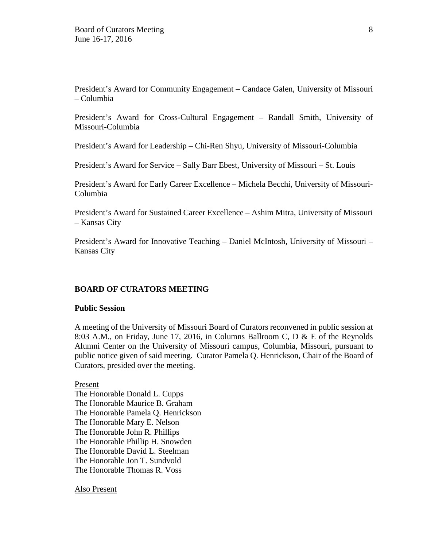President's Award for Community Engagement – Candace Galen, University of Missouri – Columbia

President's Award for Cross-Cultural Engagement – Randall Smith, University of Missouri-Columbia

President's Award for Leadership – Chi-Ren Shyu, University of Missouri-Columbia

President's Award for Service – Sally Barr Ebest, University of Missouri – St. Louis

President's Award for Early Career Excellence – Michela Becchi, University of Missouri-Columbia

President's Award for Sustained Career Excellence – Ashim Mitra, University of Missouri – Kansas City

President's Award for Innovative Teaching – Daniel McIntosh, University of Missouri – Kansas City

### **BOARD OF CURATORS MEETING**

### **Public Session**

A meeting of the University of Missouri Board of Curators reconvened in public session at 8:03 A.M., on Friday, June 17, 2016, in Columns Ballroom C, D & E of the Reynolds Alumni Center on the University of Missouri campus, Columbia, Missouri, pursuant to public notice given of said meeting. Curator Pamela Q. Henrickson, Chair of the Board of Curators, presided over the meeting.

Present

The Honorable Donald L. Cupps The Honorable Maurice B. Graham The Honorable Pamela Q. Henrickson The Honorable Mary E. Nelson The Honorable John R. Phillips The Honorable Phillip H. Snowden The Honorable David L. Steelman The Honorable Jon T. Sundvold The Honorable Thomas R. Voss

Also Present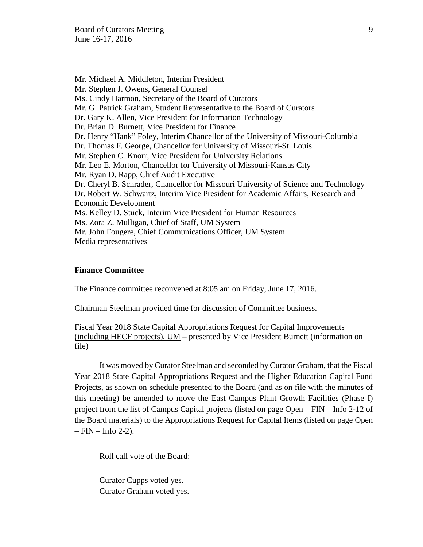Mr. Michael A. Middleton, Interim President Mr. Stephen J. Owens, General Counsel Ms. Cindy Harmon, Secretary of the Board of Curators Mr. G. Patrick Graham, Student Representative to the Board of Curators Dr. Gary K. Allen, Vice President for Information Technology Dr. Brian D. Burnett, Vice President for Finance Dr. Henry "Hank" Foley, Interim Chancellor of the University of Missouri-Columbia Dr. Thomas F. George, Chancellor for University of Missouri-St. Louis Mr. Stephen C. Knorr, Vice President for University Relations Mr. Leo E. Morton, Chancellor for University of Missouri-Kansas City Mr. Ryan D. Rapp, Chief Audit Executive Dr. Cheryl B. Schrader, Chancellor for Missouri University of Science and Technology Dr. Robert W. Schwartz, Interim Vice President for Academic Affairs, Research and Economic Development Ms. Kelley D. Stuck, Interim Vice President for Human Resources Ms. Zora Z. Mulligan, Chief of Staff, UM System Mr. John Fougere, Chief Communications Officer, UM System Media representatives

#### **Finance Committee**

The Finance committee reconvened at 8:05 am on Friday, June 17, 2016.

Chairman Steelman provided time for discussion of Committee business.

Fiscal Year 2018 State Capital Appropriations Request for Capital Improvements (including HECF projects), UM – presented by Vice President Burnett (information on file)

It was moved by Curator Steelman and seconded by Curator Graham, that the Fiscal Year 2018 State Capital Appropriations Request and the Higher Education Capital Fund Projects, as shown on schedule presented to the Board (and as on file with the minutes of this meeting) be amended to move the East Campus Plant Growth Facilities (Phase I) project from the list of Campus Capital projects (listed on page Open – FIN – Info 2-12 of the Board materials) to the Appropriations Request for Capital Items (listed on page Open  $-$  FIN  $-$  Info 2-2).

Roll call vote of the Board:

Curator Cupps voted yes. Curator Graham voted yes.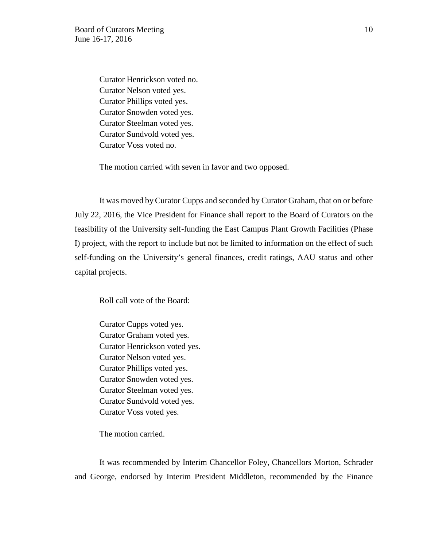Curator Henrickson voted no. Curator Nelson voted yes. Curator Phillips voted yes. Curator Snowden voted yes. Curator Steelman voted yes. Curator Sundvold voted yes. Curator Voss voted no.

The motion carried with seven in favor and two opposed.

It was moved by Curator Cupps and seconded by Curator Graham, that on or before July 22, 2016, the Vice President for Finance shall report to the Board of Curators on the feasibility of the University self-funding the East Campus Plant Growth Facilities (Phase I) project, with the report to include but not be limited to information on the effect of such self-funding on the University's general finances, credit ratings, AAU status and other capital projects.

Roll call vote of the Board:

Curator Cupps voted yes. Curator Graham voted yes. Curator Henrickson voted yes. Curator Nelson voted yes. Curator Phillips voted yes. Curator Snowden voted yes. Curator Steelman voted yes. Curator Sundvold voted yes. Curator Voss voted yes.

The motion carried.

It was recommended by Interim Chancellor Foley, Chancellors Morton, Schrader and George, endorsed by Interim President Middleton, recommended by the Finance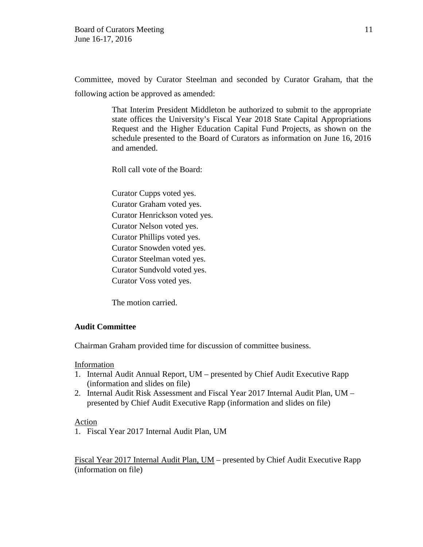Committee, moved by Curator Steelman and seconded by Curator Graham, that the following action be approved as amended:

> That Interim President Middleton be authorized to submit to the appropriate state offices the University's Fiscal Year 2018 State Capital Appropriations Request and the Higher Education Capital Fund Projects, as shown on the schedule presented to the Board of Curators as information on June 16, 2016 and amended.

Roll call vote of the Board:

Curator Cupps voted yes. Curator Graham voted yes. Curator Henrickson voted yes. Curator Nelson voted yes. Curator Phillips voted yes. Curator Snowden voted yes. Curator Steelman voted yes. Curator Sundvold voted yes. Curator Voss voted yes.

The motion carried.

## **Audit Committee**

Chairman Graham provided time for discussion of committee business.

## Information

- 1. Internal Audit Annual Report, UM presented by Chief Audit Executive Rapp (information and slides on file)
- 2. Internal Audit Risk Assessment and Fiscal Year 2017 Internal Audit Plan, UM presented by Chief Audit Executive Rapp (information and slides on file)

## Action

1. Fiscal Year 2017 Internal Audit Plan, UM

Fiscal Year 2017 Internal Audit Plan, UM – presented by Chief Audit Executive Rapp (information on file)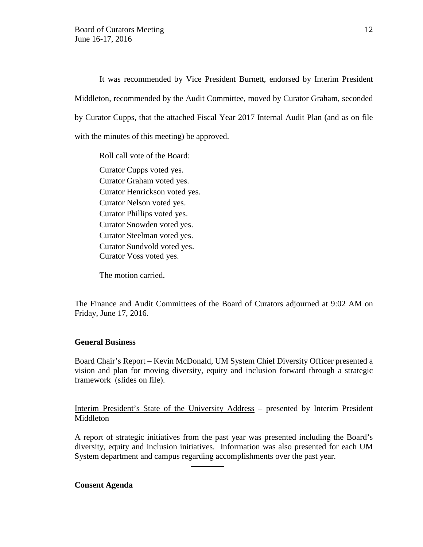It was recommended by Vice President Burnett, endorsed by Interim President Middleton, recommended by the Audit Committee, moved by Curator Graham, seconded by Curator Cupps, that the attached Fiscal Year 2017 Internal Audit Plan (and as on file with the minutes of this meeting) be approved.

Roll call vote of the Board: Curator Cupps voted yes. Curator Graham voted yes. Curator Henrickson voted yes. Curator Nelson voted yes. Curator Phillips voted yes. Curator Snowden voted yes. Curator Steelman voted yes. Curator Sundvold voted yes. Curator Voss voted yes.

The motion carried.

The Finance and Audit Committees of the Board of Curators adjourned at 9:02 AM on Friday, June 17, 2016.

### **General Business**

Board Chair's Report – Kevin McDonald, UM System Chief Diversity Officer presented a vision and plan for moving diversity, equity and inclusion forward through a strategic framework (slides on file).

Interim President's State of the University Address – presented by Interim President Middleton

A report of strategic initiatives from the past year was presented including the Board's diversity, equity and inclusion initiatives. Information was also presented for each UM System department and campus regarding accomplishments over the past year.

#### **Consent Agenda**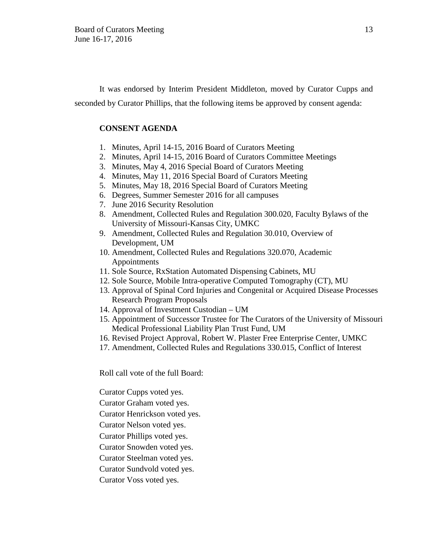It was endorsed by Interim President Middleton, moved by Curator Cupps and seconded by Curator Phillips, that the following items be approved by consent agenda:

### **CONSENT AGENDA**

- 1. Minutes, April 14-15, 2016 Board of Curators Meeting
- 2. Minutes, April 14-15, 2016 Board of Curators Committee Meetings
- 3. Minutes, May 4, 2016 Special Board of Curators Meeting
- 4. Minutes, May 11, 2016 Special Board of Curators Meeting
- 5. Minutes, May 18, 2016 Special Board of Curators Meeting
- 6. Degrees, Summer Semester 2016 for all campuses
- 7. June 2016 Security Resolution
- 8. Amendment, Collected Rules and Regulation 300.020, Faculty Bylaws of the University of Missouri-Kansas City, UMKC
- 9. Amendment, Collected Rules and Regulation 30.010, Overview of Development, UM
- 10. Amendment, Collected Rules and Regulations 320.070, Academic Appointments
- 11. Sole Source, RxStation Automated Dispensing Cabinets, MU
- 12. Sole Source, Mobile Intra-operative Computed Tomography (CT), MU
- 13. Approval of Spinal Cord Injuries and Congenital or Acquired Disease Processes Research Program Proposals
- 14. Approval of Investment Custodian UM
- 15. Appointment of Successor Trustee for The Curators of the University of Missouri Medical Professional Liability Plan Trust Fund, UM
- 16. Revised Project Approval, Robert W. Plaster Free Enterprise Center, UMKC
- 17. Amendment, Collected Rules and Regulations 330.015, Conflict of Interest

Roll call vote of the full Board:

Curator Cupps voted yes.

Curator Graham voted yes.

Curator Henrickson voted yes.

Curator Nelson voted yes.

Curator Phillips voted yes.

Curator Snowden voted yes.

Curator Steelman voted yes.

Curator Sundvold voted yes.

Curator Voss voted yes.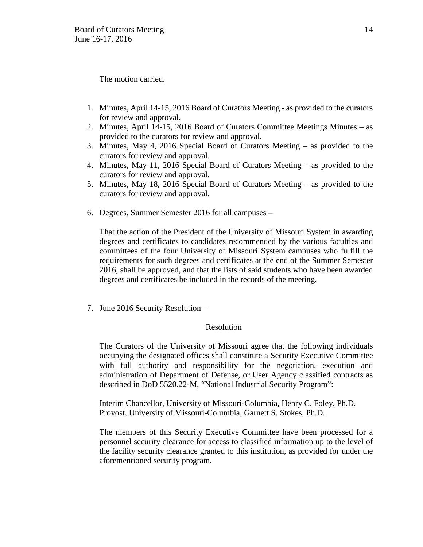The motion carried.

- 1. Minutes, April 14-15, 2016 Board of Curators Meeting as provided to the curators for review and approval.
- 2. Minutes, April 14-15, 2016 Board of Curators Committee Meetings Minutes as provided to the curators for review and approval.
- 3. Minutes, May 4, 2016 Special Board of Curators Meeting as provided to the curators for review and approval.
- 4. Minutes, May 11, 2016 Special Board of Curators Meeting as provided to the curators for review and approval.
- 5. Minutes, May 18, 2016 Special Board of Curators Meeting as provided to the curators for review and approval.
- 6. Degrees, Summer Semester 2016 for all campuses –

That the action of the President of the University of Missouri System in awarding degrees and certificates to candidates recommended by the various faculties and committees of the four University of Missouri System campuses who fulfill the requirements for such degrees and certificates at the end of the Summer Semester 2016, shall be approved, and that the lists of said students who have been awarded degrees and certificates be included in the records of the meeting.

7. June 2016 Security Resolution –

## Resolution

The Curators of the University of Missouri agree that the following individuals occupying the designated offices shall constitute a Security Executive Committee with full authority and responsibility for the negotiation, execution and administration of Department of Defense, or User Agency classified contracts as described in DoD 5520.22-M, "National Industrial Security Program":

Interim Chancellor, University of Missouri-Columbia, Henry C. Foley, Ph.D. Provost, University of Missouri-Columbia, Garnett S. Stokes, Ph.D.

The members of this Security Executive Committee have been processed for a personnel security clearance for access to classified information up to the level of the facility security clearance granted to this institution, as provided for under the aforementioned security program.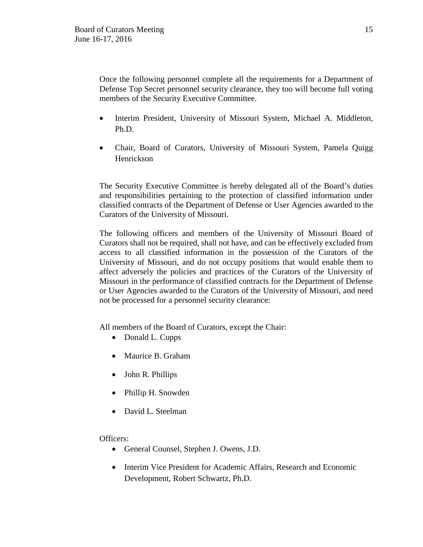Once the following personnel complete all the requirements for a Department of Defense Top Secret personnel security clearance, they too will become full voting members of the Security Executive Committee.

- Interim President, University of Missouri System, Michael A. Middleton, Ph.D.
- Chair, Board of Curators, University of Missouri System, Pamela Quigg Henrickson

The Security Executive Committee is hereby delegated all of the Board's duties and responsibilities pertaining to the protection of classified information under classified contracts of the Department of Defense or User Agencies awarded to the Curators of the University of Missouri.

The following officers and members of the University of Missouri Board of Curators shall not be required, shall not have, and can be effectively excluded from access to all classified information in the possession of the Curators of the University of Missouri, and do not occupy positions that would enable them to affect adversely the policies and practices of the Curators of the University of Missouri in the performance of classified contracts for the Department of Defense or User Agencies awarded to the Curators of the University of Missouri, and need not be processed for a personnel security clearance:

All members of the Board of Curators, except the Chair:

- Donald L. Cupps
- [Maurice](http://www.umsystem.edu/curators/members/goodew) B. Graham
- John R. Phillips
- Phillip H. Snowden
- David L. Steelman

Officers:

- General Counsel, Stephen J. Owens, J.D.
- Interim Vice President for Academic Affairs, Research and Economic Development, Robert Schwartz, Ph.D.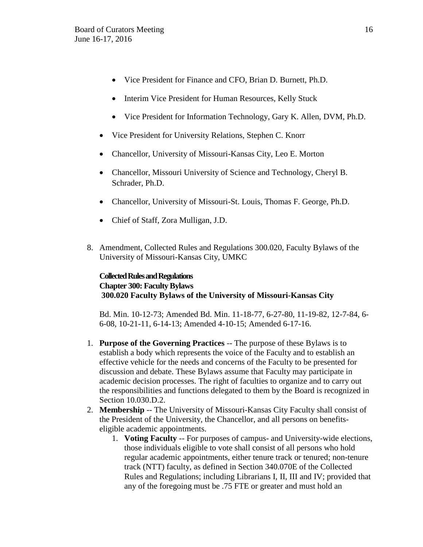- Vice President for Finance and CFO, Brian D. Burnett, Ph.D.
- Interim Vice President for Human Resources, Kelly Stuck
- Vice President for Information Technology, Gary K. Allen, DVM, Ph.D.
- Vice President for University Relations, Stephen C. Knorr
- Chancellor, University of Missouri-Kansas City, Leo E. Morton
- Chancellor, Missouri University of Science and Technology, Cheryl B. Schrader, Ph.D.
- Chancellor, University of Missouri-St. Louis, Thomas F. George, Ph.D.
- Chief of Staff, Zora Mulligan, J.D.
- 8. Amendment, Collected Rules and Regulations 300.020, Faculty Bylaws of the University of Missouri-Kansas City, UMKC

## **Collected Rules and Regulations Chapter 300: Faculty Bylaws 300.020 Faculty Bylaws of the University of Missouri-Kansas City**

Bd. Min. 10-12-73; Amended Bd. Min. 11-18-77, 6-27-80, 11-19-82, 12-7-84, 6- 6-08, 10-21-11, 6-14-13; Amended 4-10-15; Amended 6-17-16.

- 1. **Purpose of the Governing Practices** -- The purpose of these Bylaws is to establish a body which represents the voice of the Faculty and to establish an effective vehicle for the needs and concerns of the Faculty to be presented for discussion and debate. These Bylaws assume that Faculty may participate in academic decision processes. The right of faculties to organize and to carry out the responsibilities and functions delegated to them by the Board is recognized in Section 10.030.D.2.
- 2. **Membership** -- The University of Missouri-Kansas City Faculty shall consist of the President of the University, the Chancellor, and all persons on benefitseligible academic appointments.
	- 1. **Voting Faculty** -- For purposes of campus- and University-wide elections, those individuals eligible to vote shall consist of all persons who hold regular academic appointments, either tenure track or tenured; non-tenure track (NTT) faculty, as defined in Section 340.070E of the Collected Rules and Regulations; including Librarians I, II, III and IV; provided that any of the foregoing must be .75 FTE or greater and must hold an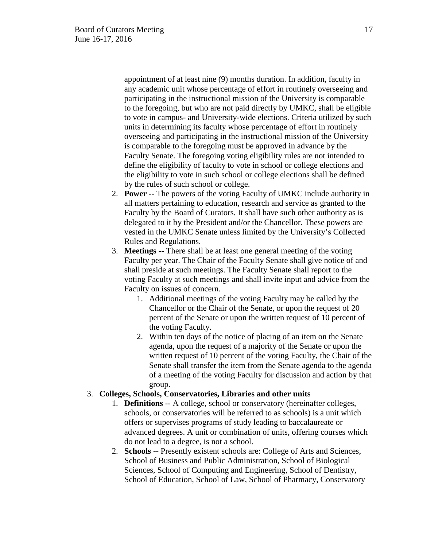appointment of at least nine (9) months duration. In addition, faculty in any academic unit whose percentage of effort in routinely overseeing and participating in the instructional mission of the University is comparable to the foregoing, but who are not paid directly by UMKC, shall be eligible to vote in campus- and University-wide elections. Criteria utilized by such units in determining its faculty whose percentage of effort in routinely overseeing and participating in the instructional mission of the University is comparable to the foregoing must be approved in advance by the Faculty Senate. The foregoing voting eligibility rules are not intended to define the eligibility of faculty to vote in school or college elections and the eligibility to vote in such school or college elections shall be defined by the rules of such school or college.

- 2. **Power** -- The powers of the voting Faculty of UMKC include authority in all matters pertaining to education, research and service as granted to the Faculty by the Board of Curators. It shall have such other authority as is delegated to it by the President and/or the Chancellor. These powers are vested in the UMKC Senate unless limited by the University's Collected Rules and Regulations.
- 3. **Meetings** -- There shall be at least one general meeting of the voting Faculty per year. The Chair of the Faculty Senate shall give notice of and shall preside at such meetings. The Faculty Senate shall report to the voting Faculty at such meetings and shall invite input and advice from the Faculty on issues of concern.
	- 1. Additional meetings of the voting Faculty may be called by the Chancellor or the Chair of the Senate, or upon the request of 20 percent of the Senate or upon the written request of 10 percent of the voting Faculty.
	- 2. Within ten days of the notice of placing of an item on the Senate agenda, upon the request of a majority of the Senate or upon the written request of 10 percent of the voting Faculty, the Chair of the Senate shall transfer the item from the Senate agenda to the agenda of a meeting of the voting Faculty for discussion and action by that group.

## 3. **Colleges, Schools, Conservatories, Libraries and other units**

- 1. **Definitions** -- A college, school or conservatory (hereinafter colleges, schools, or conservatories will be referred to as schools) is a unit which offers or supervises programs of study leading to baccalaureate or advanced degrees. A unit or combination of units, offering courses which do not lead to a degree, is not a school.
- 2. **Schools** -- Presently existent schools are: College of Arts and Sciences, School of Business and Public Administration, School of Biological Sciences, School of Computing and Engineering, School of Dentistry, School of Education, School of Law, School of Pharmacy, Conservatory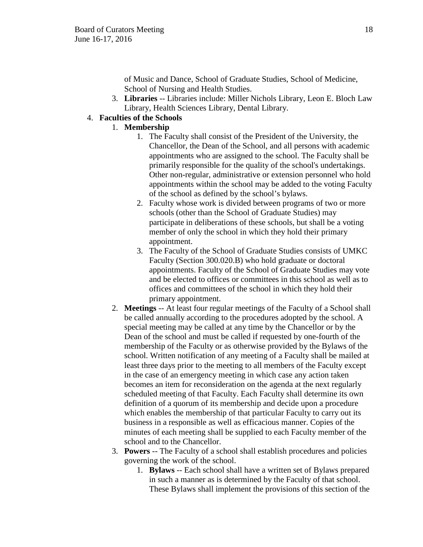of Music and Dance, School of Graduate Studies, School of Medicine, School of Nursing and Health Studies.

3. **Libraries** -- Libraries include: Miller Nichols Library, Leon E. Bloch Law Library, Health Sciences Library, Dental Library.

# 4. **Faculties of the Schools**

## 1. **Membership**

- 1. The Faculty shall consist of the President of the University, the Chancellor, the Dean of the School, and all persons with academic appointments who are assigned to the school. The Faculty shall be primarily responsible for the quality of the school's undertakings. Other non-regular, administrative or extension personnel who hold appointments within the school may be added to the voting Faculty of the school as defined by the school's bylaws.
- 2. Faculty whose work is divided between programs of two or more schools (other than the School of Graduate Studies) may participate in deliberations of these schools, but shall be a voting member of only the school in which they hold their primary appointment.
- 3. The Faculty of the School of Graduate Studies consists of UMKC Faculty (Section 300.020.B) who hold graduate or doctoral appointments. Faculty of the School of Graduate Studies may vote and be elected to offices or committees in this school as well as to offices and committees of the school in which they hold their primary appointment.
- 2. **Meetings** -- At least four regular meetings of the Faculty of a School shall be called annually according to the procedures adopted by the school. A special meeting may be called at any time by the Chancellor or by the Dean of the school and must be called if requested by one-fourth of the membership of the Faculty or as otherwise provided by the Bylaws of the school. Written notification of any meeting of a Faculty shall be mailed at least three days prior to the meeting to all members of the Faculty except in the case of an emergency meeting in which case any action taken becomes an item for reconsideration on the agenda at the next regularly scheduled meeting of that Faculty. Each Faculty shall determine its own definition of a quorum of its membership and decide upon a procedure which enables the membership of that particular Faculty to carry out its business in a responsible as well as efficacious manner. Copies of the minutes of each meeting shall be supplied to each Faculty member of the school and to the Chancellor.
- 3. **Powers** -- The Faculty of a school shall establish procedures and policies governing the work of the school.
	- 1. **Bylaws** -- Each school shall have a written set of Bylaws prepared in such a manner as is determined by the Faculty of that school. These Bylaws shall implement the provisions of this section of the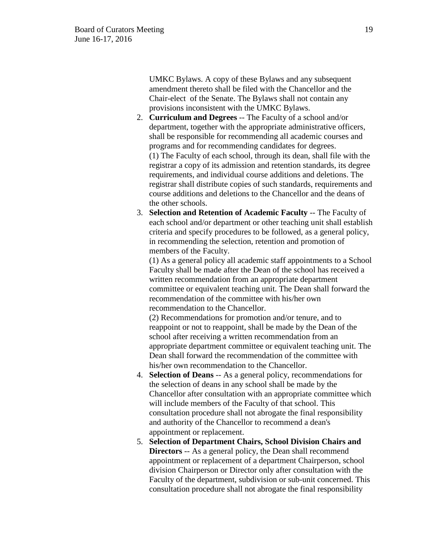UMKC Bylaws. A copy of these Bylaws and any subsequent amendment thereto shall be filed with the Chancellor and the Chair-elect of the Senate. The Bylaws shall not contain any provisions inconsistent with the UMKC Bylaws.

- 2. **Curriculum and Degrees** -- The Faculty of a school and/or department, together with the appropriate administrative officers, shall be responsible for recommending all academic courses and programs and for recommending candidates for degrees. (1) The Faculty of each school, through its dean, shall file with the registrar a copy of its admission and retention standards, its degree requirements, and individual course additions and deletions. The registrar shall distribute copies of such standards, requirements and course additions and deletions to the Chancellor and the deans of the other schools.
- 3. **Selection and Retention of Academic Faculty** -- The Faculty of each school and/or department or other teaching unit shall establish criteria and specify procedures to be followed, as a general policy, in recommending the selection, retention and promotion of members of the Faculty.

(1) As a general policy all academic staff appointments to a School Faculty shall be made after the Dean of the school has received a written recommendation from an appropriate department committee or equivalent teaching unit. The Dean shall forward the recommendation of the committee with his/her own recommendation to the Chancellor.

(2) Recommendations for promotion and/or tenure, and to reappoint or not to reappoint, shall be made by the Dean of the school after receiving a written recommendation from an appropriate department committee or equivalent teaching unit. The Dean shall forward the recommendation of the committee with his/her own recommendation to the Chancellor.

- 4. **Selection of Deans** -- As a general policy, recommendations for the selection of deans in any school shall be made by the Chancellor after consultation with an appropriate committee which will include members of the Faculty of that school. This consultation procedure shall not abrogate the final responsibility and authority of the Chancellor to recommend a dean's appointment or replacement.
- 5. **Selection of Department Chairs, School Division Chairs and Directors** -- As a general policy, the Dean shall recommend appointment or replacement of a department Chairperson, school division Chairperson or Director only after consultation with the Faculty of the department, subdivision or sub-unit concerned. This consultation procedure shall not abrogate the final responsibility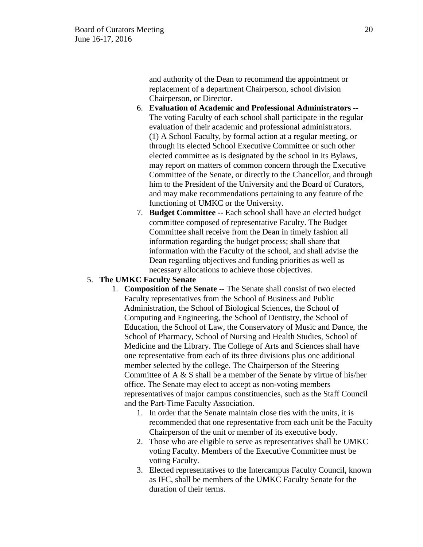and authority of the Dean to recommend the appointment or replacement of a department Chairperson, school division Chairperson, or Director.

- 6. **Evaluation of Academic and Professional Administrators** -- The voting Faculty of each school shall participate in the regular evaluation of their academic and professional administrators. (1) A School Faculty, by formal action at a regular meeting, or through its elected School Executive Committee or such other elected committee as is designated by the school in its Bylaws, may report on matters of common concern through the Executive Committee of the Senate, or directly to the Chancellor, and through him to the President of the University and the Board of Curators, and may make recommendations pertaining to any feature of the functioning of UMKC or the University.
- 7. **Budget Committee** -- Each school shall have an elected budget committee composed of representative Faculty. The Budget Committee shall receive from the Dean in timely fashion all information regarding the budget process; shall share that information with the Faculty of the school, and shall advise the Dean regarding objectives and funding priorities as well as necessary allocations to achieve those objectives.

### 5. **The UMKC Faculty Senate**

- 1. **Composition of the Senate** -- The Senate shall consist of two elected Faculty representatives from the School of Business and Public Administration, the School of Biological Sciences, the School of Computing and Engineering, the School of Dentistry, the School of Education, the School of Law, the Conservatory of Music and Dance, the School of Pharmacy, School of Nursing and Health Studies, School of Medicine and the Library. The College of Arts and Sciences shall have one representative from each of its three divisions plus one additional member selected by the college. The Chairperson of the Steering Committee of A & S shall be a member of the Senate by virtue of his/her office. The Senate may elect to accept as non-voting members representatives of major campus constituencies, such as the Staff Council and the Part-Time Faculty Association.
	- 1. In order that the Senate maintain close ties with the units, it is recommended that one representative from each unit be the Faculty Chairperson of the unit or member of its executive body.
	- 2. Those who are eligible to serve as representatives shall be UMKC voting Faculty. Members of the Executive Committee must be voting Faculty.
	- 3. Elected representatives to the Intercampus Faculty Council, known as IFC, shall be members of the UMKC Faculty Senate for the duration of their terms.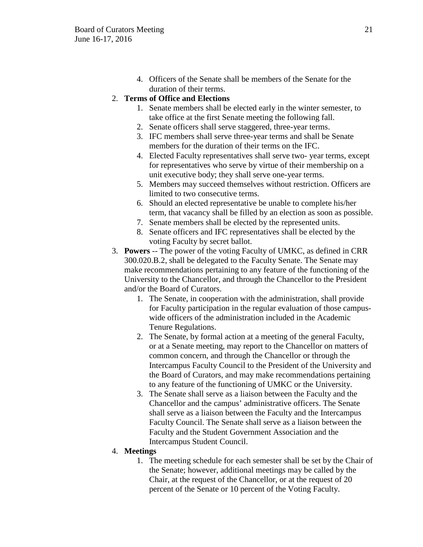4. Officers of the Senate shall be members of the Senate for the duration of their terms.

## 2. **Terms of Office and Elections**

- 1. Senate members shall be elected early in the winter semester, to take office at the first Senate meeting the following fall.
- 2. Senate officers shall serve staggered, three-year terms.
- 3. IFC members shall serve three-year terms and shall be Senate members for the duration of their terms on the IFC.
- 4. Elected Faculty representatives shall serve two- year terms, except for representatives who serve by virtue of their membership on a unit executive body; they shall serve one-year terms.
- 5. Members may succeed themselves without restriction. Officers are limited to two consecutive terms.
- 6. Should an elected representative be unable to complete his/her term, that vacancy shall be filled by an election as soon as possible.
- 7. Senate members shall be elected by the represented units.
- 8. Senate officers and IFC representatives shall be elected by the voting Faculty by secret ballot.
- 3. **Powers** -- The power of the voting Faculty of UMKC, as defined in CRR 300.020.B.2, shall be delegated to the Faculty Senate. The Senate may make recommendations pertaining to any feature of the functioning of the University to the Chancellor, and through the Chancellor to the President and/or the Board of Curators.
	- 1. The Senate, in cooperation with the administration, shall provide for Faculty participation in the regular evaluation of those campuswide officers of the administration included in the Academic Tenure Regulations.
	- 2. The Senate, by formal action at a meeting of the general Faculty, or at a Senate meeting, may report to the Chancellor on matters of common concern, and through the Chancellor or through the Intercampus Faculty Council to the President of the University and the Board of Curators, and may make recommendations pertaining to any feature of the functioning of UMKC or the University.
	- 3. The Senate shall serve as a liaison between the Faculty and the Chancellor and the campus' administrative officers. The Senate shall serve as a liaison between the Faculty and the Intercampus Faculty Council. The Senate shall serve as a liaison between the Faculty and the Student Government Association and the Intercampus Student Council.

## 4. **Meetings**

1. The meeting schedule for each semester shall be set by the Chair of the Senate; however, additional meetings may be called by the Chair, at the request of the Chancellor, or at the request of 20 percent of the Senate or 10 percent of the Voting Faculty.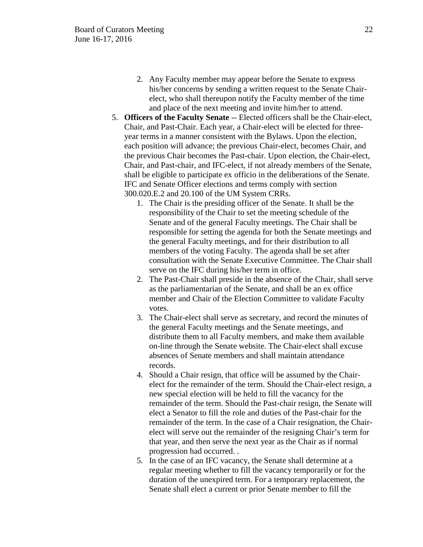- 2. Any Faculty member may appear before the Senate to express his/her concerns by sending a written request to the Senate Chairelect, who shall thereupon notify the Faculty member of the time and place of the next meeting and invite him/her to attend.
- 5. **Officers of the Faculty Senate** -- Elected officers shall be the Chair-elect, Chair, and Past-Chair. Each year, a Chair-elect will be elected for threeyear terms in a manner consistent with the Bylaws. Upon the election, each position will advance; the previous Chair-elect, becomes Chair, and the previous Chair becomes the Past-chair. Upon election, the Chair-elect, Chair, and Past-chair, and IFC-elect, if not already members of the Senate, shall be eligible to participate ex officio in the deliberations of the Senate. IFC and Senate Officer elections and terms comply with section 300.020.E.2 and 20.100 of the UM System CRRs.
	- 1. The Chair is the presiding officer of the Senate. It shall be the responsibility of the Chair to set the meeting schedule of the Senate and of the general Faculty meetings. The Chair shall be responsible for setting the agenda for both the Senate meetings and the general Faculty meetings, and for their distribution to all members of the voting Faculty. The agenda shall be set after consultation with the Senate Executive Committee. The Chair shall serve on the IFC during his/her term in office.
	- 2. The Past-Chair shall preside in the absence of the Chair, shall serve as the parliamentarian of the Senate, and shall be an ex office member and Chair of the Election Committee to validate Faculty votes.
	- 3. The Chair-elect shall serve as secretary, and record the minutes of the general Faculty meetings and the Senate meetings, and distribute them to all Faculty members, and make them available on-line through the Senate website. The Chair-elect shall excuse absences of Senate members and shall maintain attendance records.
	- 4. Should a Chair resign, that office will be assumed by the Chairelect for the remainder of the term. Should the Chair-elect resign, a new special election will be held to fill the vacancy for the remainder of the term. Should the Past-chair resign, the Senate will elect a Senator to fill the role and duties of the Past-chair for the remainder of the term. In the case of a Chair resignation, the Chairelect will serve out the remainder of the resigning Chair's term for that year, and then serve the next year as the Chair as if normal progression had occurred. .
	- 5. In the case of an IFC vacancy, the Senate shall determine at a regular meeting whether to fill the vacancy temporarily or for the duration of the unexpired term. For a temporary replacement, the Senate shall elect a current or prior Senate member to fill the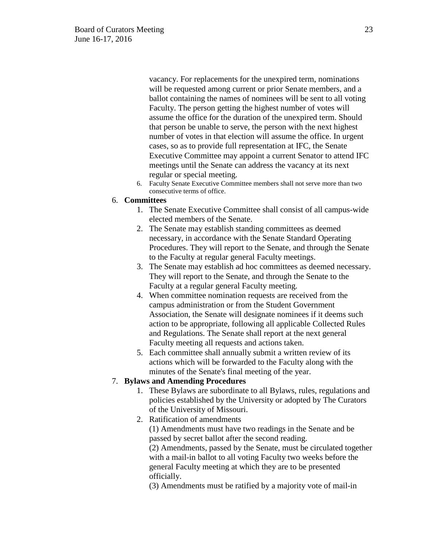vacancy. For replacements for the unexpired term, nominations will be requested among current or prior Senate members, and a ballot containing the names of nominees will be sent to all voting Faculty. The person getting the highest number of votes will assume the office for the duration of the unexpired term. Should that person be unable to serve, the person with the next highest number of votes in that election will assume the office. In urgent cases, so as to provide full representation at IFC, the Senate Executive Committee may appoint a current Senator to attend IFC meetings until the Senate can address the vacancy at its next regular or special meeting.

6. Faculty Senate Executive Committee members shall not serve more than two consecutive terms of office.

#### 6. **Committees**

- 1. The Senate Executive Committee shall consist of all campus-wide elected members of the Senate.
- 2. The Senate may establish standing committees as deemed necessary, in accordance with the Senate Standard Operating Procedures. They will report to the Senate, and through the Senate to the Faculty at regular general Faculty meetings.
- 3. The Senate may establish ad hoc committees as deemed necessary. They will report to the Senate, and through the Senate to the Faculty at a regular general Faculty meeting.
- 4. When committee nomination requests are received from the campus administration or from the Student Government Association, the Senate will designate nominees if it deems such action to be appropriate, following all applicable Collected Rules and Regulations. The Senate shall report at the next general Faculty meeting all requests and actions taken.
- 5. Each committee shall annually submit a written review of its actions which will be forwarded to the Faculty along with the minutes of the Senate's final meeting of the year.

### 7. **Bylaws and Amending Procedures**

- 1. These Bylaws are subordinate to all Bylaws, rules, regulations and policies established by the University or adopted by The Curators of the University of Missouri.
- 2. Ratification of amendments (1) Amendments must have two readings in the Senate and be passed by secret ballot after the second reading. (2) Amendments, passed by the Senate, must be circulated together

with a mail-in ballot to all voting Faculty two weeks before the general Faculty meeting at which they are to be presented officially.

(3) Amendments must be ratified by a majority vote of mail-in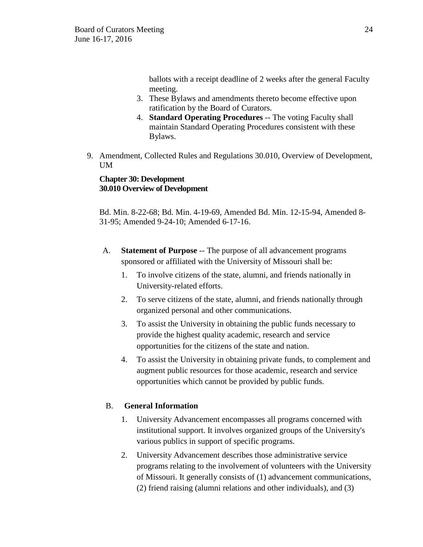ballots with a receipt deadline of 2 weeks after the general Faculty meeting.

- 3. These Bylaws and amendments thereto become effective upon ratification by the Board of Curators.
- 4. **Standard Operating Procedures** -- The voting Faculty shall maintain Standard Operating Procedures consistent with these Bylaws.
- 9. Amendment, Collected Rules and Regulations 30.010, Overview of Development, UM

## **Chapter 30: Development 30.010 Overview of Development**

 Bd. Min. 8-22-68; Bd. Min. 4-19-69, Amended Bd. Min. 12-15-94, Amended 8- 31-95; Amended 9-24-10; Amended 6-17-16.

- A. **Statement of Purpose** -- The purpose of all advancement programs sponsored or affiliated with the University of Missouri shall be:
	- 1. To involve citizens of the state, alumni, and friends nationally in University-related efforts.
	- 2. To serve citizens of the state, alumni, and friends nationally through organized personal and other communications.
	- 3. To assist the University in obtaining the public funds necessary to provide the highest quality academic, research and service opportunities for the citizens of the state and nation.
	- 4. To assist the University in obtaining private funds, to complement and augment public resources for those academic, research and service opportunities which cannot be provided by public funds.

# B. **General Information**

- 1. University Advancement encompasses all programs concerned with institutional support. It involves organized groups of the University's various publics in support of specific programs.
- 2. University Advancement describes those administrative service programs relating to the involvement of volunteers with the University of Missouri. It generally consists of (1) advancement communications, (2) friend raising (alumni relations and other individuals), and (3)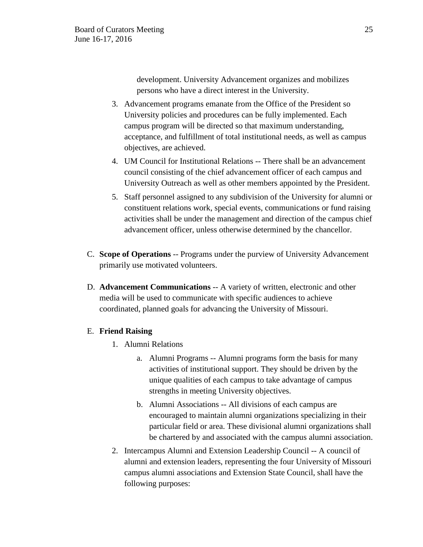development. University Advancement organizes and mobilizes persons who have a direct interest in the University.

- 3. Advancement programs emanate from the Office of the President so University policies and procedures can be fully implemented. Each campus program will be directed so that maximum understanding, acceptance, and fulfillment of total institutional needs, as well as campus objectives, are achieved.
- 4. UM Council for Institutional Relations -- There shall be an advancement council consisting of the chief advancement officer of each campus and University Outreach as well as other members appointed by the President.
- 5. Staff personnel assigned to any subdivision of the University for alumni or constituent relations work, special events, communications or fund raising activities shall be under the management and direction of the campus chief advancement officer, unless otherwise determined by the chancellor.
- C. **Scope of Operations** -- Programs under the purview of University Advancement primarily use motivated volunteers.
- D. **Advancement Communications** -- A variety of written, electronic and other media will be used to communicate with specific audiences to achieve coordinated, planned goals for advancing the University of Missouri.

## E. **Friend Raising**

- 1. Alumni Relations
	- a. Alumni Programs -- Alumni programs form the basis for many activities of institutional support. They should be driven by the unique qualities of each campus to take advantage of campus strengths in meeting University objectives.
	- b. Alumni Associations -- All divisions of each campus are encouraged to maintain alumni organizations specializing in their particular field or area. These divisional alumni organizations shall be chartered by and associated with the campus alumni association.
- 2. Intercampus Alumni and Extension Leadership Council -- A council of alumni and extension leaders, representing the four University of Missouri campus alumni associations and Extension State Council, shall have the following purposes: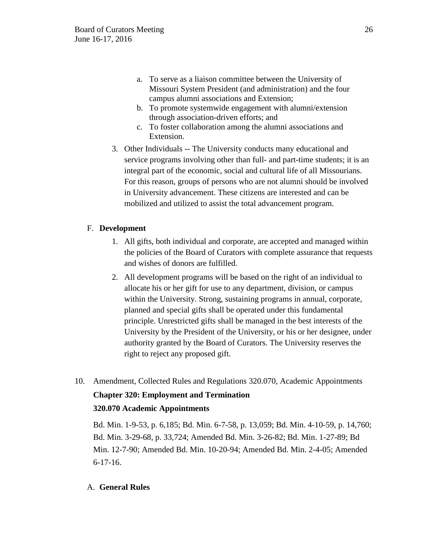- a. To serve as a liaison committee between the University of Missouri System President (and administration) and the four campus alumni associations and Extension;
- b. To promote systemwide engagement with alumni/extension through association-driven efforts; and
- c. To foster collaboration among the alumni associations and Extension.
- 3. Other Individuals -- The University conducts many educational and service programs involving other than full- and part-time students; it is an integral part of the economic, social and cultural life of all Missourians. For this reason, groups of persons who are not alumni should be involved in University advancement. These citizens are interested and can be mobilized and utilized to assist the total advancement program.

# F. **Development**

- 1. All gifts, both individual and corporate, are accepted and managed within the policies of the Board of Curators with complete assurance that requests and wishes of donors are fulfilled.
- 2. All development programs will be based on the right of an individual to allocate his or her gift for use to any department, division, or campus within the University. Strong, sustaining programs in annual, corporate, planned and special gifts shall be operated under this fundamental principle. Unrestricted gifts shall be managed in the best interests of the University by the President of the University, or his or her designee, under authority granted by the Board of Curators. The University reserves the right to reject any proposed gift.
- 10. Amendment, Collected Rules and Regulations 320.070, Academic Appointments **Chapter 320: Employment and Termination 320.070 Academic Appointments**

Bd. Min. 1-9-53, p. 6,185; Bd. Min. 6-7-58, p. 13,059; Bd. Min. 4-10-59, p. 14,760; Bd. Min. 3-29-68, p. 33,724; Amended Bd. Min. 3-26-82; Bd. Min. 1-27-89; Bd Min. 12-7-90; Amended Bd. Min. 10-20-94; Amended Bd. Min. 2-4-05; Amended 6-17-16.

## A. **General Rules**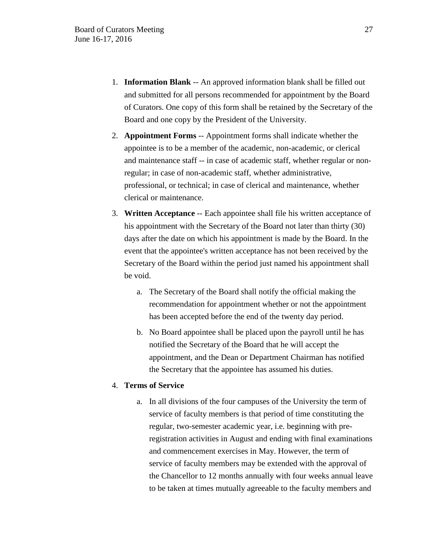- 1. **Information Blank** -- An approved information blank shall be filled out and submitted for all persons recommended for appointment by the Board of Curators. One copy of this form shall be retained by the Secretary of the Board and one copy by the President of the University.
- 2. **Appointment Forms** -- Appointment forms shall indicate whether the appointee is to be a member of the academic, non-academic, or clerical and maintenance staff -- in case of academic staff, whether regular or nonregular; in case of non-academic staff, whether administrative, professional, or technical; in case of clerical and maintenance, whether clerical or maintenance.
- 3. **Written Acceptance** -- Each appointee shall file his written acceptance of his appointment with the Secretary of the Board not later than thirty (30) days after the date on which his appointment is made by the Board. In the event that the appointee's written acceptance has not been received by the Secretary of the Board within the period just named his appointment shall be void.
	- a. The Secretary of the Board shall notify the official making the recommendation for appointment whether or not the appointment has been accepted before the end of the twenty day period.
	- b. No Board appointee shall be placed upon the payroll until he has notified the Secretary of the Board that he will accept the appointment, and the Dean or Department Chairman has notified the Secretary that the appointee has assumed his duties.

### 4. **Terms of Service**

a. In all divisions of the four campuses of the University the term of service of faculty members is that period of time constituting the regular, two-semester academic year, i.e. beginning with preregistration activities in August and ending with final examinations and commencement exercises in May. However, the term of service of faculty members may be extended with the approval of the Chancellor to 12 months annually with four weeks annual leave to be taken at times mutually agreeable to the faculty members and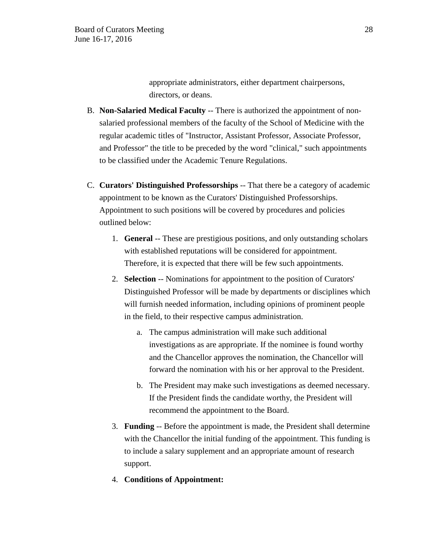appropriate administrators, either department chairpersons, directors, or deans.

- B. **Non-Salaried Medical Faculty** -- There is authorized the appointment of nonsalaried professional members of the faculty of the School of Medicine with the regular academic titles of "Instructor, Assistant Professor, Associate Professor, and Professor" the title to be preceded by the word "clinical," such appointments to be classified under the Academic Tenure Regulations.
- C. **Curators' Distinguished Professorships** -- That there be a category of academic appointment to be known as the Curators' Distinguished Professorships. Appointment to such positions will be covered by procedures and policies outlined below:
	- 1. **General** -- These are prestigious positions, and only outstanding scholars with established reputations will be considered for appointment. Therefore, it is expected that there will be few such appointments.
	- 2. **Selection** -- Nominations for appointment to the position of Curators' Distinguished Professor will be made by departments or disciplines which will furnish needed information, including opinions of prominent people in the field, to their respective campus administration.
		- a. The campus administration will make such additional investigations as are appropriate. If the nominee is found worthy and the Chancellor approves the nomination, the Chancellor will forward the nomination with his or her approval to the President.
		- b. The President may make such investigations as deemed necessary. If the President finds the candidate worthy, the President will recommend the appointment to the Board.
	- 3. **Funding** -- Before the appointment is made, the President shall determine with the Chancellor the initial funding of the appointment. This funding is to include a salary supplement and an appropriate amount of research support.
	- 4. **Conditions of Appointment:**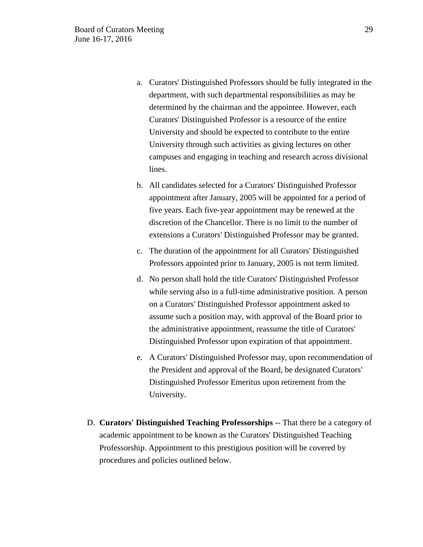- a. Curators' Distinguished Professors should be fully integrated in the department, with such departmental responsibilities as may be determined by the chairman and the appointee. However, each Curators' Distinguished Professor is a resource of the entire University and should be expected to contribute to the entire University through such activities as giving lectures on other campuses and engaging in teaching and research across divisional lines.
- b. All candidates selected for a Curators' Distinguished Professor appointment after January, 2005 will be appointed for a period of five years. Each five-year appointment may be renewed at the discretion of the Chancellor. There is no limit to the number of extensions a Curators' Distinguished Professor may be granted.
- c. The duration of the appointment for all Curators' Distinguished Professors appointed prior to January, 2005 is not term limited.
- d. No person shall hold the title Curators' Distinguished Professor while serving also in a full-time administrative position. A person on a Curators' Distinguished Professor appointment asked to assume such a position may, with approval of the Board prior to the administrative appointment, reassume the title of Curators' Distinguished Professor upon expiration of that appointment.
- e. A Curators' Distinguished Professor may, upon recommendation of the President and approval of the Board, be designated Curators' Distinguished Professor Emeritus upon retirement from the University.
- D. **Curators' Distinguished Teaching Professorships** -- That there be a category of academic appointment to be known as the Curators' Distinguished Teaching Professorship. Appointment to this prestigious position will be covered by procedures and policies outlined below.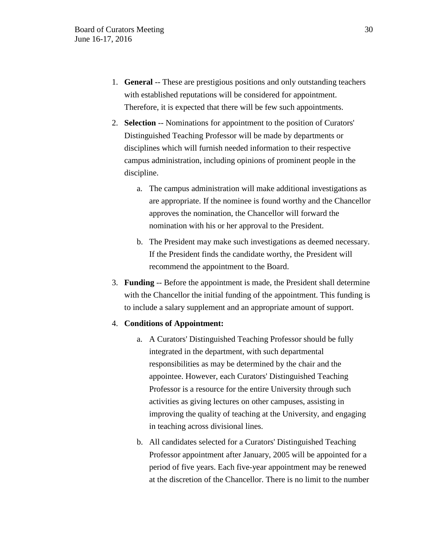- 1. **General** -- These are prestigious positions and only outstanding teachers with established reputations will be considered for appointment. Therefore, it is expected that there will be few such appointments.
- 2. **Selection** -- Nominations for appointment to the position of Curators' Distinguished Teaching Professor will be made by departments or disciplines which will furnish needed information to their respective campus administration, including opinions of prominent people in the discipline.
	- a. The campus administration will make additional investigations as are appropriate. If the nominee is found worthy and the Chancellor approves the nomination, the Chancellor will forward the nomination with his or her approval to the President.
	- b. The President may make such investigations as deemed necessary. If the President finds the candidate worthy, the President will recommend the appointment to the Board.
- 3. **Funding** -- Before the appointment is made, the President shall determine with the Chancellor the initial funding of the appointment. This funding is to include a salary supplement and an appropriate amount of support.

### 4. **Conditions of Appointment:**

- a. A Curators' Distinguished Teaching Professor should be fully integrated in the department, with such departmental responsibilities as may be determined by the chair and the appointee. However, each Curators' Distinguished Teaching Professor is a resource for the entire University through such activities as giving lectures on other campuses, assisting in improving the quality of teaching at the University, and engaging in teaching across divisional lines.
- b. All candidates selected for a Curators' Distinguished Teaching Professor appointment after January, 2005 will be appointed for a period of five years. Each five-year appointment may be renewed at the discretion of the Chancellor. There is no limit to the number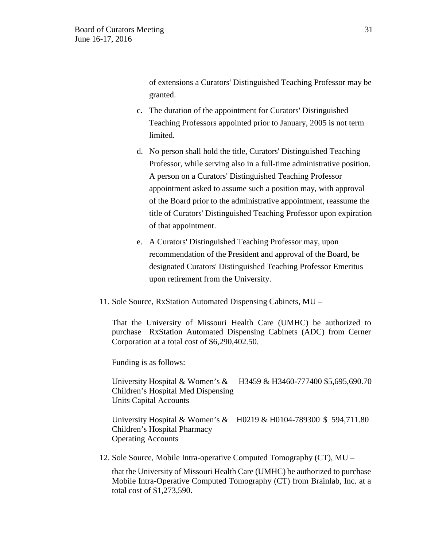of extensions a Curators' Distinguished Teaching Professor may be granted.

- c. The duration of the appointment for Curators' Distinguished Teaching Professors appointed prior to January, 2005 is not term limited.
- d. No person shall hold the title, Curators' Distinguished Teaching Professor, while serving also in a full-time administrative position. A person on a Curators' Distinguished Teaching Professor appointment asked to assume such a position may, with approval of the Board prior to the administrative appointment, reassume the title of Curators' Distinguished Teaching Professor upon expiration of that appointment.
- e. A Curators' Distinguished Teaching Professor may, upon recommendation of the President and approval of the Board, be designated Curators' Distinguished Teaching Professor Emeritus upon retirement from the University.
- 11. Sole Source, RxStation Automated Dispensing Cabinets, MU –

That the University of Missouri Health Care (UMHC) be authorized to purchase RxStation Automated Dispensing Cabinets (ADC) from Cerner Corporation at a total cost of \$6,290,402.50.

Funding is as follows:

University Hospital & Women's & H3459 & H3460-777400 \$5,695,690.70 Children's Hospital Med Dispensing Units Capital Accounts

University Hospital & Women's & H0219 & H0104-789300 \$ 594,711.80 Children's Hospital Pharmacy Operating Accounts

12. Sole Source, Mobile Intra-operative Computed Tomography (CT), MU –

that the University of Missouri Health Care (UMHC) be authorized to purchase Mobile Intra-Operative Computed Tomography (CT) from Brainlab, Inc. at a total cost of \$1,273,590.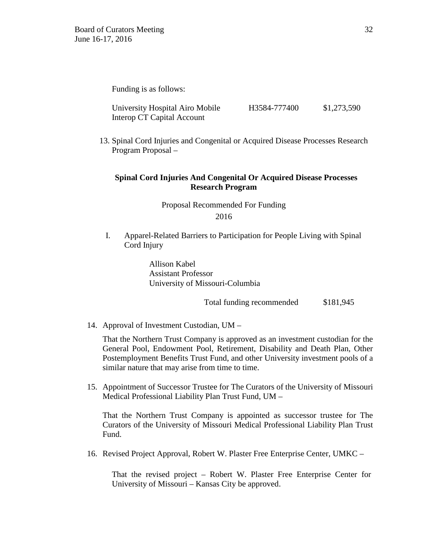Funding is as follows:

| University Hospital Airo Mobile | H3584-777400 | \$1,273,590 |
|---------------------------------|--------------|-------------|
| Interop CT Capital Account      |              |             |

13. Spinal Cord Injuries and Congenital or Acquired Disease Processes Research Program Proposal –

## **Spinal Cord Injuries And Congenital Or Acquired Disease Processes Research Program**

Proposal Recommended For Funding 2016

I. Apparel-Related Barriers to Participation for People Living with Spinal Cord Injury

> Allison Kabel Assistant Professor University of Missouri-Columbia

> > Total funding recommended \$181,945

14. Approval of Investment Custodian, UM –

That the Northern Trust Company is approved as an investment custodian for the General Pool, Endowment Pool, Retirement, Disability and Death Plan, Other Postemployment Benefits Trust Fund, and other University investment pools of a similar nature that may arise from time to time.

15. Appointment of Successor Trustee for The Curators of the University of Missouri Medical Professional Liability Plan Trust Fund, UM –

That the Northern Trust Company is appointed as successor trustee for The Curators of the University of Missouri Medical Professional Liability Plan Trust Fund.

16. Revised Project Approval, Robert W. Plaster Free Enterprise Center, UMKC –

That the revised project – Robert W. Plaster Free Enterprise Center for University of Missouri – Kansas City be approved.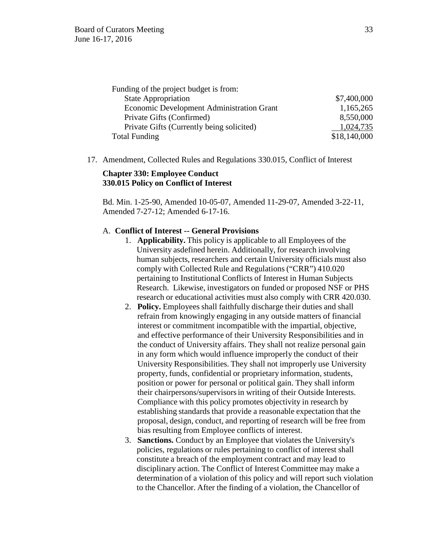| Funding of the project budget is from:           |              |
|--------------------------------------------------|--------------|
| <b>State Appropriation</b>                       | \$7,400,000  |
| <b>Economic Development Administration Grant</b> | 1,165,265    |
| Private Gifts (Confirmed)                        | 8,550,000    |
| Private Gifts (Currently being solicited)        | 1,024,735    |
| <b>Total Funding</b>                             | \$18,140,000 |

17. Amendment, Collected Rules and Regulations 330.015, Conflict of Interest

### **Chapter 330: Employee Conduct 330.015 Policy on Conflict of Interest**

Bd. Min. 1-25-90, Amended 10-05-07, Amended 11-29-07, Amended 3-22-11, Amended 7-27-12; Amended 6-17-16.

#### A. **Conflict of Interest -- General Provisions**

- 1. **Applicability.** This policy is applicable to all Employees of the University asdefined herein. Additionally, for research involving human subjects, researchers and certain University officials must also comply with Collected Rule and Regulations ("CRR") 410.020 pertaining to Institutional Conflicts of Interest in Human Subjects Research. Likewise, investigators on funded or proposed NSF or PHS research or educational activities must also comply with CRR 420.030.
- 2. **Policy.** Employees shall faithfully discharge their duties and shall refrain from knowingly engaging in any outside matters of financial interest or commitment incompatible with the impartial, objective, and effective performance of their University Responsibilities and in the conduct of University affairs. They shall not realize personal gain in any form which would influence improperly the conduct of their University Responsibilities. They shall not improperly use University property, funds, confidential or proprietary information, students, position or power for personal or political gain. They shall inform their chairpersons/supervisors in writing of their Outside Interests. Compliance with this policy promotes objectivity in research by establishing standards that provide a reasonable expectation that the proposal, design, conduct, and reporting of research will be free from bias resulting from Employee conflicts of interest.
- 3. **Sanctions.** Conduct by an Employee that violates the University's policies, regulations or rules pertaining to conflict of interest shall constitute a breach of the employment contract and may lead to disciplinary action. The Conflict of Interest Committee may make a determination of a violation of this policy and will report such violation to the Chancellor. After the finding of a violation, the Chancellor of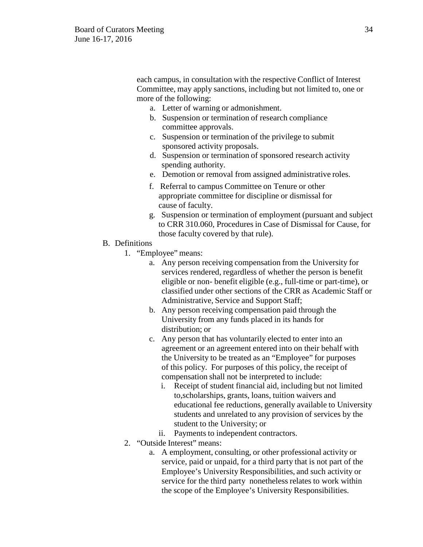each campus, in consultation with the respective Conflict of Interest Committee, may apply sanctions, including but not limited to, one or more of the following:

- a. Letter of warning or admonishment.
- b. Suspension or termination of research compliance committee approvals.
- c. Suspension or termination of the privilege to submit sponsored activity proposals.
- d. Suspension or termination of sponsored research activity spending authority.
- e. Demotion or removal from assigned administrative roles.
- f. Referral to campus Committee on Tenure or other appropriate committee for discipline or dismissal for cause of faculty.
- g. Suspension or termination of employment (pursuant and subject to CRR 310.060, Procedures in Case of Dismissal for Cause, for those faculty covered by that rule).
- B. Definitions
	- 1. "Employee" means:
		- a. Any person receiving compensation from the University for services rendered, regardless of whether the person is benefit eligible or non- benefit eligible (e.g., full-time or part-time), or classified under other sections of the CRR as Academic Staff or Administrative, Service and Support Staff;
		- b. Any person receiving compensation paid through the University from any funds placed in its hands for distribution; or
		- c. Any person that has voluntarily elected to enter into an agreement or an agreement entered into on their behalf with the University to be treated as an "Employee" for purposes of this policy. For purposes of this policy, the receipt of compensation shall not be interpreted to include:
			- i. Receipt of student financial aid, including but not limited to,scholarships, grants, loans, tuition waivers and educational fee reductions, generally available to University students and unrelated to any provision of services by the student to the University; or
		- ii. Payments to independent contractors.
	- 2. "Outside Interest" means:
		- a. A employment, consulting, or other professional activity or service, paid or unpaid, for a third party that is not part of the Employee's University Responsibilities, and such activity or service for the third party nonetheless relates to work within the scope of the Employee's University Responsibilities.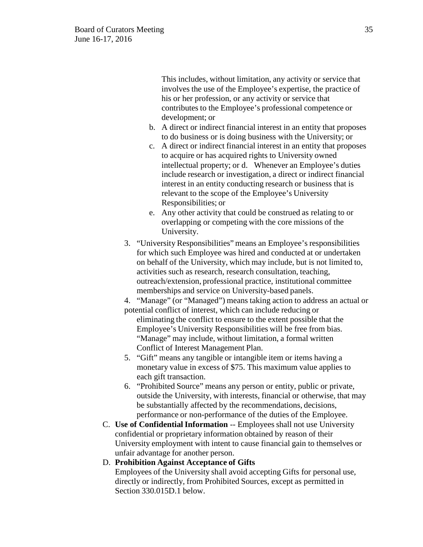This includes, without limitation, any activity or service that involves the use of the Employee's expertise, the practice of his or her profession, or any activity or service that contributes to the Employee's professional competence or development; or

- b. A direct or indirect financial interest in an entity that proposes to do business or is doing business with the University; or
- c. A direct or indirect financial interest in an entity that proposes to acquire or has acquired rights to University owned intellectual property; or d. Whenever an Employee's duties include research or investigation, a direct or indirect financial interest in an entity conducting research or business that is relevant to the scope of the Employee's University Responsibilities; or
- e. Any other activity that could be construed as relating to or overlapping or competing with the core missions of the University.
- 3. "University Responsibilities" means an Employee's responsibilities for which such Employee was hired and conducted at or undertaken on behalf of the University, which may include, but is not limited to, activities such as research, research consultation, teaching, outreach/extension, professional practice, institutional committee memberships and service on University-based panels.

4. "Manage" (or "Managed") means taking action to address an actual or potential conflict of interest, which can include reducing or

eliminating the conflict to ensure to the extent possible that the Employee's University Responsibilities will be free from bias. "Manage" may include, without limitation, a formal written Conflict of Interest Management Plan.

- 5. "Gift" means any tangible or intangible item or items having a monetary value in excess of \$75. This maximum value applies to each gift transaction.
- 6. "Prohibited Source" means any person or entity, public or private, outside the University, with interests, financial or otherwise, that may be substantially affected by the recommendations, decisions, performance or non-performance of the duties of the Employee.
- C. **Use of Confidential Information** -- Employees shall not use University confidential or proprietary information obtained by reason of their University employment with intent to cause financial gain to themselves or unfair advantage for another person.

## D. **Prohibition Against Acceptance of Gifts**

Employees of the University shall avoid accepting Gifts for personal use, directly or indirectly, from Prohibited Sources, except as permitted in Section 330.015D.1 below.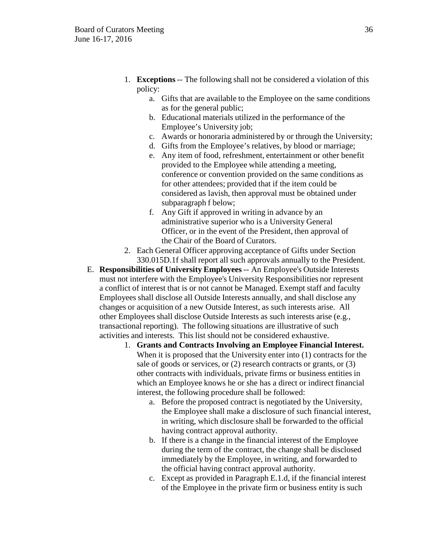- 1. **Exceptions** -- The following shall not be considered a violation of this policy:
	- a. Gifts that are available to the Employee on the same conditions as for the general public;
	- b. Educational materials utilized in the performance of the Employee's University job;
	- c. Awards or honoraria administered by or through the University;
	- d. Gifts from the Employee's relatives, by blood or marriage;
	- e. Any item of food, refreshment, entertainment or other benefit provided to the Employee while attending a meeting, conference or convention provided on the same conditions as for other attendees; provided that if the item could be considered as lavish, then approval must be obtained under subparagraph f below;
	- f. Any Gift if approved in writing in advance by an administrative superior who is a University General Officer, or in the event of the President, then approval of the Chair of the Board of Curators.
- 2. Each General Officer approving acceptance of Gifts under Section 330.015D.1f shall report all such approvals annually to the President.
- E. **Responsibilities of University Employees** -- An Employee's Outside Interests must not interfere with the Employee's University Responsibilities nor represent a conflict of interest that is or not cannot be Managed. Exempt staff and faculty Employees shall disclose all Outside Interests annually, and shall disclose any changes or acquisition of a new Outside Interest, as such interests arise. All other Employees shall disclose Outside Interests as such interests arise (e.g., transactional reporting). The following situations are illustrative of such activities and interests. This list should not be considered exhaustive.
	- 1. **Grants and Contracts Involving an Employee Financial Interest.**  When it is proposed that the University enter into (1) contracts for the sale of goods or services, or (2) research contracts or grants, or (3) other contracts with individuals, private firms or business entities in which an Employee knows he or she has a direct or indirect financial interest, the following procedure shall be followed:
		- a. Before the proposed contract is negotiated by the University, the Employee shall make a disclosure of such financial interest, in writing, which disclosure shall be forwarded to the official having contract approval authority.
		- b. If there is a change in the financial interest of the Employee during the term of the contract, the change shall be disclosed immediately by the Employee, in writing, and forwarded to the official having contract approval authority.
		- c. Except as provided in Paragraph E.1.d, if the financial interest of the Employee in the private firm or business entity is such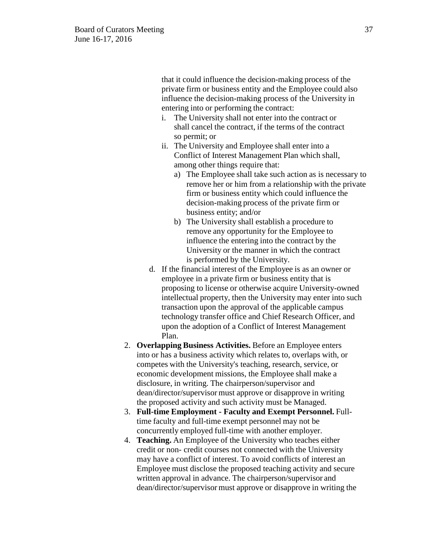that it could influence the decision-making process of the private firm or business entity and the Employee could also influence the decision-making process of the University in entering into or performing the contract:

- i. The University shall not enter into the contract or shall cancel the contract, if the terms of the contract so permit; or
- ii. The University and Employee shall enter into a Conflict of Interest Management Plan which shall, among other things require that:
	- a) The Employee shall take such action as is necessary to remove her or him from a relationship with the private firm or business entity which could influence the decision-making process of the private firm or business entity; and/or
	- b) The University shall establish a procedure to remove any opportunity for the Employee to influence the entering into the contract by the University or the manner in which the contract is performed by the University.
- d. If the financial interest of the Employee is as an owner or employee in a private firm or business entity that is proposing to license or otherwise acquire University-owned intellectual property, then the University may enter into such transaction upon the approval of the applicable campus technology transfer office and Chief Research Officer, and upon the adoption of a Conflict of Interest Management Plan.
- 2. **Overlapping Business Activities.** Before an Employee enters into or has a business activity which relates to, overlaps with, or competes with the University's teaching, research, service, or economic development missions, the Employee shall make a disclosure, in writing. The chairperson/supervisor and dean/director/supervisor must approve or disapprove in writing the proposed activity and such activity must be Managed.
- 3. **Full-time Employment Faculty and Exempt Personnel.** Fulltime faculty and full-time exempt personnel may not be concurrently employed full-time with another employer.
- 4. **Teaching.** An Employee of the University who teaches either credit or non- credit courses not connected with the University may have a conflict of interest. To avoid conflicts of interest an Employee must disclose the proposed teaching activity and secure written approval in advance. The chairperson/supervisor and dean/director/supervisor must approve or disapprove in writing the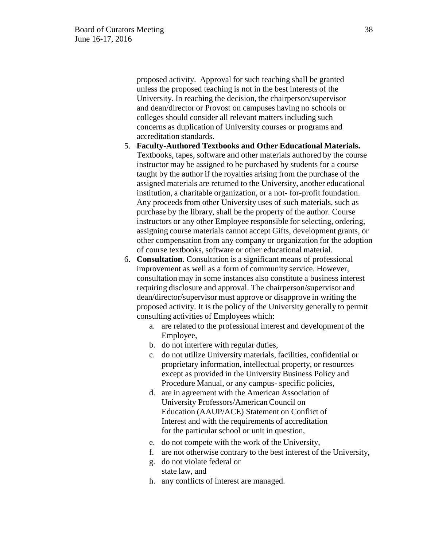proposed activity. Approval for such teaching shall be granted unless the proposed teaching is not in the best interests of the University. In reaching the decision, the chairperson/supervisor and dean/director or Provost on campuses having no schools or colleges should consider all relevant matters including such concerns as duplication of University courses or programs and accreditation standards.

- 5. **Faculty-Authored Textbooks and Other Educational Materials.** Textbooks, tapes, software and other materials authored by the course instructor may be assigned to be purchased by students for a course taught by the author if the royalties arising from the purchase of the assigned materials are returned to the University, another educational institution, a charitable organization, or a not- for-profit foundation. Any proceeds from other University uses of such materials, such as purchase by the library, shall be the property of the author. Course instructors or any other Employee responsible for selecting, ordering, assigning course materials cannot accept Gifts, development grants, or other compensation from any company or organization for the adoption of course textbooks, software or other educational material.
- 6. **Consultation**. Consultation is a significant means of professional improvement as well as a form of community service. However, consultation may in some instances also constitute a business interest requiring disclosure and approval. The chairperson/supervisor and dean/director/supervisor must approve or disapprove in writing the proposed activity. It is the policy of the University generally to permit consulting activities of Employees which:
	- a. are related to the professional interest and development of the Employee,
	- b. do not interfere with regular duties,
	- c. do not utilize University materials, facilities, confidential or proprietary information, intellectual property, or resources except as provided in the University Business Policy and Procedure Manual, or any campus- specific policies,
	- d. are in agreement with the American Association of University Professors/American Council on Education (AAUP/ACE) Statement on Conflict of Interest and with the requirements of accreditation for the particular school or unit in question,
	- e. do not compete with the work of the University,
	- f. are not otherwise contrary to the best interest of the University,
	- g. do not violate federal or state law, and
	- h. any conflicts of interest are managed.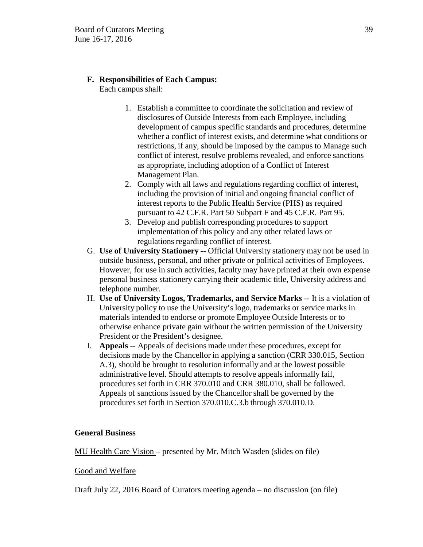# **F. Responsibilities of Each Campus:**

Each campus shall:

- 1. Establish a committee to coordinate the solicitation and review of disclosures of Outside Interests from each Employee, including development of campus specific standards and procedures, determine whether a conflict of interest exists, and determine what conditions or restrictions, if any, should be imposed by the campus to Manage such conflict of interest, resolve problems revealed, and enforce sanctions as appropriate, including adoption of a Conflict of Interest Management Plan.
- 2. Comply with all laws and regulations regarding conflict of interest, including the provision of initial and ongoing financial conflict of interest reports to the Public Health Service (PHS) as required pursuant to 42 C.F.R. Part 50 Subpart F and 45 C.F.R. Part 95.
- 3. Develop and publish corresponding procedures to support implementation of this policy and any other related laws or regulations regarding conflict of interest.
- G. **Use of University Stationery** -- Official University stationery may not be used in outside business, personal, and other private or political activities of Employees. However, for use in such activities, faculty may have printed at their own expense personal business stationery carrying their academic title, University address and telephone number.
- H. **Use of University Logos, Trademarks, and Service Marks** -- It is a violation of University policy to use the University's logo, trademarks or service marks in materials intended to endorse or promote Employee Outside Interests or to otherwise enhance private gain without the written permission of the University President or the President's designee.
- I. **Appeals** -- Appeals of decisions made under these procedures, except for decisions made by the Chancellor in applying a sanction (CRR 330.015, Section A.3), should be brought to resolution informally and at the lowest possible administrative level. Should attempts to resolve appeals informally fail, procedures set forth in CRR 370.010 and CRR 380.010, shall be followed. Appeals of sanctions issued by the Chancellor shall be governed by the procedures set forth in Section 370.010.C.3.b through 370.010.D.

## **General Business**

MU Health Care Vision – presented by Mr. Mitch Wasden (slides on file)

## Good and Welfare

Draft July 22, 2016 Board of Curators meeting agenda – no discussion (on file)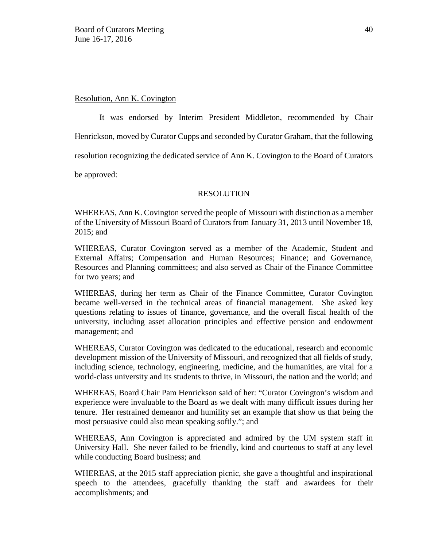### Resolution, Ann K. Covington

It was endorsed by Interim President Middleton, recommended by Chair Henrickson, moved by Curator Cupps and seconded by Curator Graham, that the following resolution recognizing the dedicated service of Ann K. Covington to the Board of Curators be approved:

## RESOLUTION

WHEREAS, Ann K. Covington served the people of Missouri with distinction as a member of the University of Missouri Board of Curators from January 31, 2013 until November 18, 2015; and

WHEREAS, Curator Covington served as a member of the Academic, Student and External Affairs; Compensation and Human Resources; Finance; and Governance, Resources and Planning committees; and also served as Chair of the Finance Committee for two years; and

WHEREAS, during her term as Chair of the Finance Committee, Curator Covington became well-versed in the technical areas of financial management. She asked key questions relating to issues of finance, governance, and the overall fiscal health of the university, including asset allocation principles and effective pension and endowment management; and

WHEREAS, Curator Covington was dedicated to the educational, research and economic development mission of the University of Missouri, and recognized that all fields of study, including science, technology, engineering, medicine, and the humanities, are vital for a world-class university and its students to thrive, in Missouri, the nation and the world; and

WHEREAS, Board Chair Pam Henrickson said of her: "Curator Covington's wisdom and experience were invaluable to the Board as we dealt with many difficult issues during her tenure. Her restrained demeanor and humility set an example that show us that being the most persuasive could also mean speaking softly."; and

WHEREAS, Ann Covington is appreciated and admired by the UM system staff in University Hall. She never failed to be friendly, kind and courteous to staff at any level while conducting Board business; and

WHEREAS, at the 2015 staff appreciation picnic, she gave a thoughtful and inspirational speech to the attendees, gracefully thanking the staff and awardees for their accomplishments; and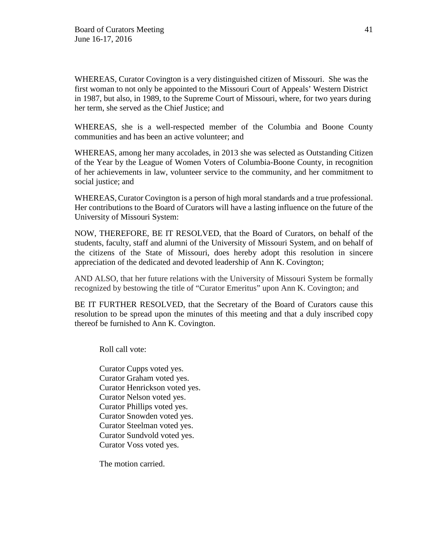WHEREAS, Curator Covington is a very distinguished citizen of Missouri. She was the first woman to not only be appointed to the Missouri Court of Appeals' Western District in 1987, but also, in 1989, to the Supreme Court of Missouri, where, for two years during her term, she served as the Chief Justice; and

WHEREAS, she is a well-respected member of the Columbia and Boone County communities and has been an active volunteer; and

WHEREAS, among her many accolades, in 2013 she was selected as Outstanding Citizen of the Year by the League of Women Voters of Columbia-Boone County, in recognition of her achievements in law, volunteer service to the community, and her commitment to social justice; and

WHEREAS, Curator Covington is a person of high moral standards and a true professional. Her contributions to the Board of Curators will have a lasting influence on the future of the University of Missouri System:

NOW, THEREFORE, BE IT RESOLVED, that the Board of Curators, on behalf of the students, faculty, staff and alumni of the University of Missouri System, and on behalf of the citizens of the State of Missouri, does hereby adopt this resolution in sincere appreciation of the dedicated and devoted leadership of Ann K. Covington;

AND ALSO, that her future relations with the University of Missouri System be formally recognized by bestowing the title of "Curator Emeritus" upon Ann K. Covington; and

BE IT FURTHER RESOLVED, that the Secretary of the Board of Curators cause this resolution to be spread upon the minutes of this meeting and that a duly inscribed copy thereof be furnished to Ann K. Covington.

Roll call vote:

Curator Cupps voted yes. Curator Graham voted yes. Curator Henrickson voted yes. Curator Nelson voted yes. Curator Phillips voted yes. Curator Snowden voted yes. Curator Steelman voted yes. Curator Sundvold voted yes. Curator Voss voted yes.

The motion carried.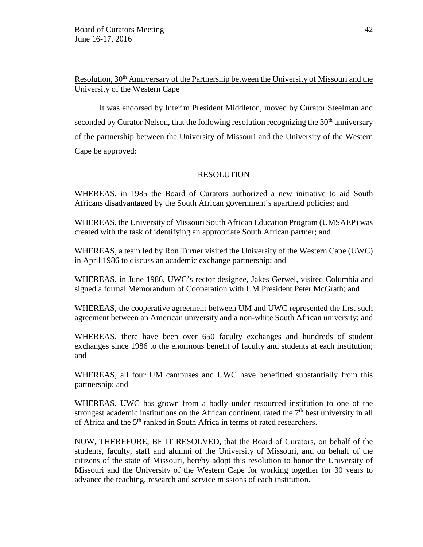# Resolution, 30<sup>th</sup> Anniversary of the Partnership between the University of Missouri and the University of the Western Cape

It was endorsed by Interim President Middleton, moved by Curator Steelman and seconded by Curator Nelson, that the following resolution recognizing the  $30<sup>th</sup>$  anniversary of the partnership between the University of Missouri and the University of the Western Cape be approved:

## RESOLUTION

WHEREAS, in 1985 the Board of Curators authorized a new initiative to aid South Africans disadvantaged by the South African government's apartheid policies; and

WHEREAS, the University of Missouri South African Education Program (UMSAEP) was created with the task of identifying an appropriate South African partner; and

WHEREAS, a team led by Ron Turner visited the University of the Western Cape (UWC) in April 1986 to discuss an academic exchange partnership; and

WHEREAS, in June 1986, UWC's rector designee, Jakes Gerwel, visited Columbia and signed a formal Memorandum of Cooperation with UM President Peter McGrath; and

WHEREAS, the cooperative agreement between UM and UWC represented the first such agreement between an American university and a non-white South African university; and

WHEREAS, there have been over 650 faculty exchanges and hundreds of student exchanges since 1986 to the enormous benefit of faculty and students at each institution; and

WHEREAS, all four UM campuses and UWC have benefitted substantially from this partnership; and

WHEREAS, UWC has grown from a badly under resourced institution to one of the strongest academic institutions on the African continent, rated the  $7<sup>th</sup>$  best university in all of Africa and the 5<sup>th</sup> ranked in South Africa in terms of rated researchers.

NOW, THEREFORE, BE IT RESOLVED, that the Board of Curators, on behalf of the students, faculty, staff and alumni of the University of Missouri, and on behalf of the citizens of the state of Missouri, hereby adopt this resolution to honor the University of Missouri and the University of the Western Cape for working together for 30 years to advance the teaching, research and service missions of each institution.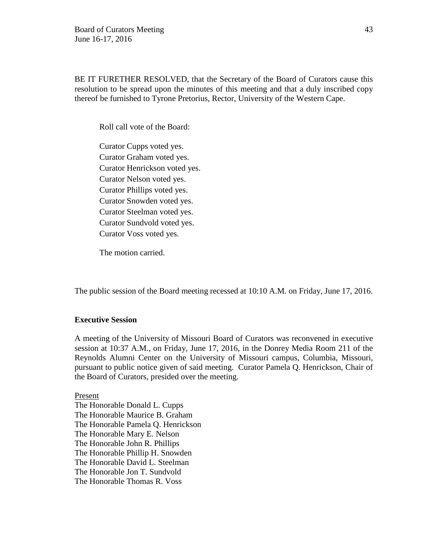BE IT FURETHER RESOLVED, that the Secretary of the Board of Curators cause this resolution to be spread upon the minutes of this meeting and that a duly inscribed copy thereof be furnished to Tyrone Pretorius, Rector, University of the Western Cape.

Roll call vote of the Board:

Curator Cupps voted yes. Curator Graham voted yes. Curator Henrickson voted yes. Curator Nelson voted yes. Curator Phillips voted yes. Curator Snowden voted yes. Curator Steelman voted yes. Curator Sundvold voted yes. Curator Voss voted yes.

The motion carried.

The public session of the Board meeting recessed at 10:10 A.M. on Friday, June 17, 2016.

### **Executive Session**

A meeting of the University of Missouri Board of Curators was reconvened in executive session at 10:37 A.M., on Friday, June 17, 2016, in the Donrey Media Room 211 of the Reynolds Alumni Center on the University of Missouri campus, Columbia, Missouri, pursuant to public notice given of said meeting. Curator Pamela Q. Henrickson, Chair of the Board of Curators, presided over the meeting.

Present

The Honorable Donald L. Cupps The Honorable Maurice B. Graham The Honorable Pamela Q. Henrickson The Honorable Mary E. Nelson The Honorable John R. Phillips The Honorable Phillip H. Snowden The Honorable David L. Steelman The Honorable Jon T. Sundvold The Honorable Thomas R. Voss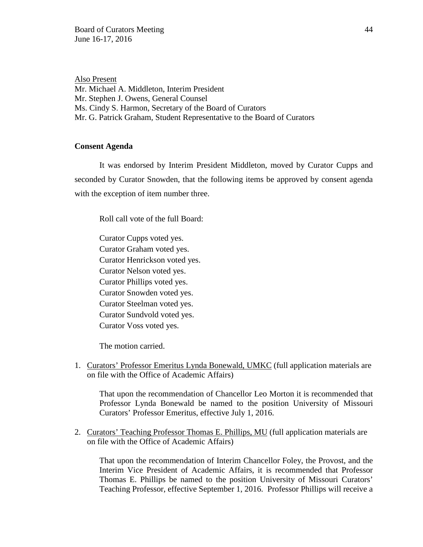Also Present Mr. Michael A. Middleton, Interim President Mr. Stephen J. Owens, General Counsel Ms. Cindy S. Harmon, Secretary of the Board of Curators Mr. G. Patrick Graham, Student Representative to the Board of Curators

### **Consent Agenda**

It was endorsed by Interim President Middleton, moved by Curator Cupps and seconded by Curator Snowden, that the following items be approved by consent agenda with the exception of item number three.

Roll call vote of the full Board:

Curator Cupps voted yes. Curator Graham voted yes. Curator Henrickson voted yes. Curator Nelson voted yes. Curator Phillips voted yes. Curator Snowden voted yes. Curator Steelman voted yes. Curator Sundvold voted yes. Curator Voss voted yes.

The motion carried.

1. Curators' Professor Emeritus Lynda Bonewald, UMKC (full application materials are on file with the Office of Academic Affairs)

That upon the recommendation of Chancellor Leo Morton it is recommended that Professor Lynda Bonewald be named to the position University of Missouri Curators' Professor Emeritus, effective July 1, 2016.

2. Curators' Teaching Professor Thomas E. Phillips, MU (full application materials are on file with the Office of Academic Affairs)

That upon the recommendation of Interim Chancellor Foley, the Provost, and the Interim Vice President of Academic Affairs, it is recommended that Professor Thomas E. Phillips be named to the position University of Missouri Curators' Teaching Professor, effective September 1, 2016. Professor Phillips will receive a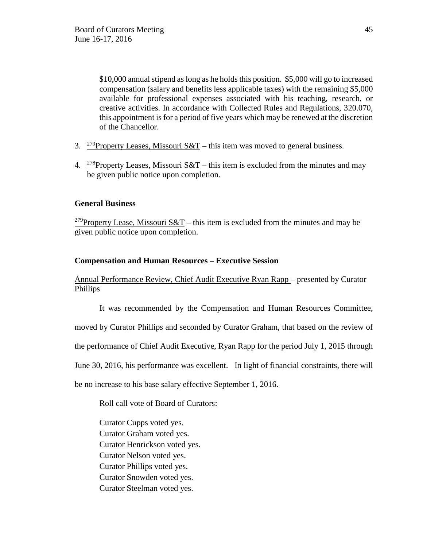\$10,000 annual stipend as long as he holds this position. \$5,000 will go to increased compensation (salary and benefits less applicable taxes) with the remaining \$5,000 available for professional expenses associated with his teaching, research, or creative activities. In accordance with Collected Rules and Regulations, 320.070, this appointment is for a period of five years which may be renewed at the discretion of the Chancellor.

- 3. <sup>279</sup>Property Leases, Missouri S&T this item was moved to general business.
- 4. <sup>278</sup>Property Leases, Missouri S&T this item is excluded from the minutes and may be given public notice upon completion.

## **General Business**

<sup>279</sup>Property Lease, Missouri S&T – this item is excluded from the minutes and may be given public notice upon completion.

## **Compensation and Human Resources – Executive Session**

Annual Performance Review, Chief Audit Executive Ryan Rapp – presented by Curator Phillips

It was recommended by the Compensation and Human Resources Committee,

moved by Curator Phillips and seconded by Curator Graham, that based on the review of

the performance of Chief Audit Executive, Ryan Rapp for the period July 1, 2015 through

June 30, 2016, his performance was excellent. In light of financial constraints, there will

be no increase to his base salary effective September 1, 2016.

Roll call vote of Board of Curators:

Curator Cupps voted yes. Curator Graham voted yes. Curator Henrickson voted yes. Curator Nelson voted yes. Curator Phillips voted yes. Curator Snowden voted yes. Curator Steelman voted yes.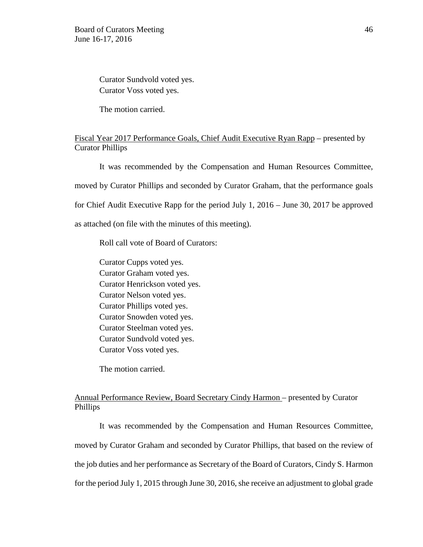Curator Sundvold voted yes. Curator Voss voted yes.

The motion carried.

## Fiscal Year 2017 Performance Goals, Chief Audit Executive Ryan Rapp – presented by Curator Phillips

It was recommended by the Compensation and Human Resources Committee, moved by Curator Phillips and seconded by Curator Graham, that the performance goals for Chief Audit Executive Rapp for the period July 1, 2016 – June 30, 2017 be approved as attached (on file with the minutes of this meeting).

Roll call vote of Board of Curators:

Curator Cupps voted yes. Curator Graham voted yes. Curator Henrickson voted yes. Curator Nelson voted yes. Curator Phillips voted yes. Curator Snowden voted yes. Curator Steelman voted yes. Curator Sundvold voted yes. Curator Voss voted yes.

The motion carried.

## Annual Performance Review, Board Secretary Cindy Harmon – presented by Curator Phillips

It was recommended by the Compensation and Human Resources Committee, moved by Curator Graham and seconded by Curator Phillips, that based on the review of the job duties and her performance as Secretary of the Board of Curators, Cindy S. Harmon for the period July 1, 2015 through June 30, 2016, she receive an adjustment to global grade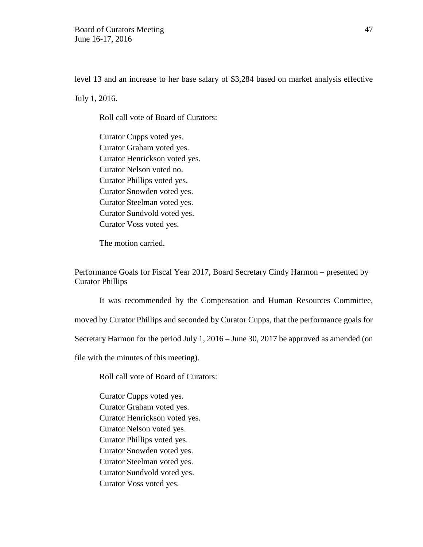level 13 and an increase to her base salary of \$3,284 based on market analysis effective

July 1, 2016.

Roll call vote of Board of Curators:

Curator Cupps voted yes. Curator Graham voted yes. Curator Henrickson voted yes. Curator Nelson voted no. Curator Phillips voted yes. Curator Snowden voted yes. Curator Steelman voted yes. Curator Sundvold voted yes. Curator Voss voted yes.

The motion carried.

Performance Goals for Fiscal Year 2017, Board Secretary Cindy Harmon – presented by Curator Phillips

It was recommended by the Compensation and Human Resources Committee, moved by Curator Phillips and seconded by Curator Cupps, that the performance goals for Secretary Harmon for the period July 1, 2016 – June 30, 2017 be approved as amended (on file with the minutes of this meeting).

Roll call vote of Board of Curators:

Curator Cupps voted yes. Curator Graham voted yes. Curator Henrickson voted yes. Curator Nelson voted yes. Curator Phillips voted yes. Curator Snowden voted yes. Curator Steelman voted yes. Curator Sundvold voted yes. Curator Voss voted yes.